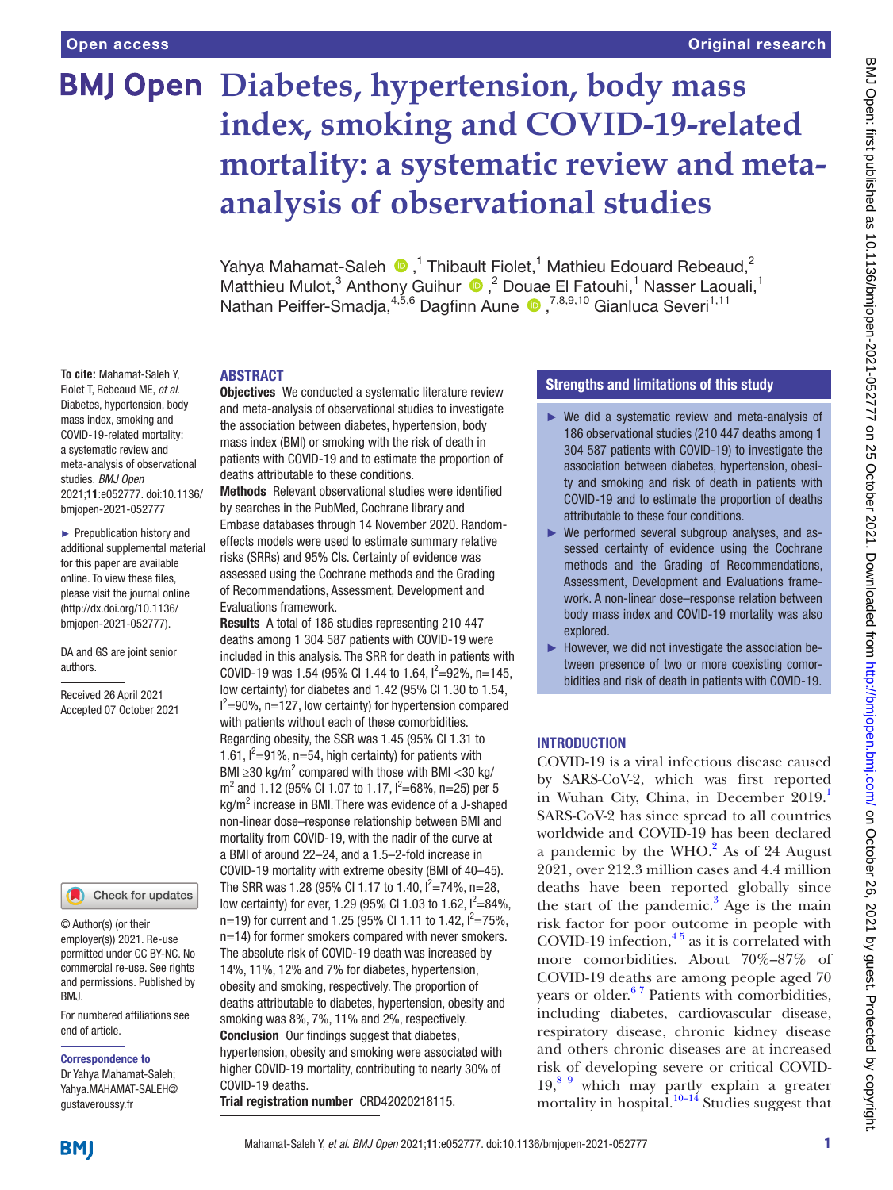**To cite:** Mahamat-Saleh Y, Fiolet T, Rebeaud ME, *et al*. Diabetes, hypertension, body mass index, smoking and COVID-19-related mortality: a systematic review and meta-analysis of observational

studies. *BMJ Open*

authors.

Received 26 April 2021 Accepted 07 October 2021

2021;11:e052777. doi:10.1136/ bmjopen-2021-052777 ► Prepublication history and additional supplemental material for this paper are available online. To view these files, please visit the journal online (http://dx.doi.org/10.1136/ bmjopen-2021-052777). DA and GS are joint senior

# **BMJ Open Diabetes, hypertension, body mass index, smoking and COVID-19-related mortality: a systematic review and metaanalysis of observational studies**

Yahya Mahamat-Saleh  $\bigcirc$  ,<sup>1</sup> Thibault Fiolet,<sup>1</sup> Mathieu Edouard Rebeaud,<sup>2</sup> Matthieu Mulot,<sup>3</sup> Anthony Guihur <sup>1</sup>,<sup>2</sup> Douae El Fatouhi,<sup>1</sup> Nasser Laouali,<sup>1</sup> Nathan Peiffer-Smadja,<sup>4,5,6</sup> Dagfinn Aune <sup>1,7,8,9,10</sup> Gianluca Severi<sup>1,11</sup>

#### ABSTRACT

**Objectives** We conducted a systematic literature review and meta-analysis of observational studies to investigate the association between diabetes, hypertension, body mass index (BMI) or smoking with the risk of death in patients with COVID-19 and to estimate the proportion of deaths attributable to these conditions.

Methods Relevant observational studies were identified by searches in the PubMed, Cochrane library and Embase databases through 14 November 2020. Randomeffects models were used to estimate summary relative risks (SRRs) and 95% CIs. Certainty of evidence was assessed using the Cochrane methods and the Grading of Recommendations, Assessment, Development and Evaluations framework.

Results A total of 186 studies representing 210 447 deaths among 1 304 587 patients with COVID-19 were included in this analysis. The SRR for death in patients with COVID-19 was 1.54 (95% CI 1.44 to 1.64,  $I^2 = 92\%$ , n=145, low certainty) for diabetes and 1.42 (95% CI 1.30 to 1.54,  $I^2$ =90%, n=127, low certainty) for hypertension compared with patients without each of these comorbidities. Regarding obesity, the SSR was 1.45 (95% CI 1.31 to 1.61,  $I^2 = 91\%$ , n=54, high certainty) for patients with BMI ≥30 kg/m<sup>2</sup> compared with those with BMI <30 kg/  $m^2$  and 1.12 (95% CI 1.07 to 1.17,  $l^2 = 68$ %, n=25) per 5  $kg/m<sup>2</sup>$  increase in BMI. There was evidence of a J-shaped non-linear dose–response relationship between BMI and mortality from COVID-19, with the nadir of the curve at a BMI of around 22–24, and a 1.5–2-fold increase in COVID-19 mortality with extreme obesity (BMI of 40–45). The SRR was 1.28 (95% CI 1.17 to 1.40,  $I^2 = 74\%$ , n=28, low certainty) for ever, 1.29 (95% CI 1.03 to 1.62,  $I^2 = 84\%$ , n=19) for current and 1.25 (95% CI 1.11 to 1.42,  $I^2 = 75\%$ , n=14) for former smokers compared with never smokers. The absolute risk of COVID-19 death was increased by 14%, 11%, 12% and 7% for diabetes, hypertension, obesity and smoking, respectively. The proportion of deaths attributable to diabetes, hypertension, obesity and smoking was 8%, 7%, 11% and 2%, respectively. Conclusion Our findings suggest that diabetes, hypertension, obesity and smoking were associated with higher COVID-19 mortality, contributing to nearly 30% of COVID-19 deaths.

Trial registration number CRD42020218115.

#### Strengths and limitations of this study

- ► We did a systematic review and meta-analysis of 186 observational studies (210 447 deaths among 1 304 587 patients with COVID-19) to investigate the association between diabetes, hypertension, obesity and smoking and risk of death in patients with COVID-19 and to estimate the proportion of deaths attributable to these four conditions.
- ► We performed several subgroup analyses, and assessed certainty of evidence using the Cochrane methods and the Grading of Recommendations, Assessment, Development and Evaluations framework. A non-linear dose–response relation between body mass index and COVID-19 mortality was also explored.
- ► However, we did not investigate the association between presence of two or more coexisting comorbidities and risk of death in patients with COVID-19.

#### INTRODUCTION

COVID-19 is a viral infectious disease caused by SARS-CoV-2, which was first reported in Wuhan City, China, in December 2019. SARS-CoV-2 has since spread to all countries worldwide and COVID-19 has been declared a pandemic by the WHO. $^{2}$  As of 24 August 2021, over 212.3 million cases and 4.4 million deaths have been reported globally since the start of the pandemic. $3$  Age is the main risk factor for poor outcome in people with COVID-19 infection, $4^{\frac{1}{5}}$  as it is correlated with more comorbidities. About 70%–87% of COVID-19 deaths are among people aged 70 years or older.<sup>67</sup> Patients with comorbidities, including diabetes, cardiovascular disease, respiratory disease, chronic kidney disease and others chronic diseases are at increased risk of developing severe or critical COVID- $19<sup>89</sup>$  which may partly explain a greater mortality in hospital. $10^{-14}$  Studies suggest that

**BMI** 

For numbered affiliations see

Check for updates

end of article.

BMJ.

Correspondence to Dr Yahya Mahamat-Saleh; Yahya.MAHAMAT-SALEH@ gustaveroussy.fr

© Author(s) (or their employer(s)) 2021. Re-use permitted under CC BY-NC. No commercial re-use. See rights and permissions. Published by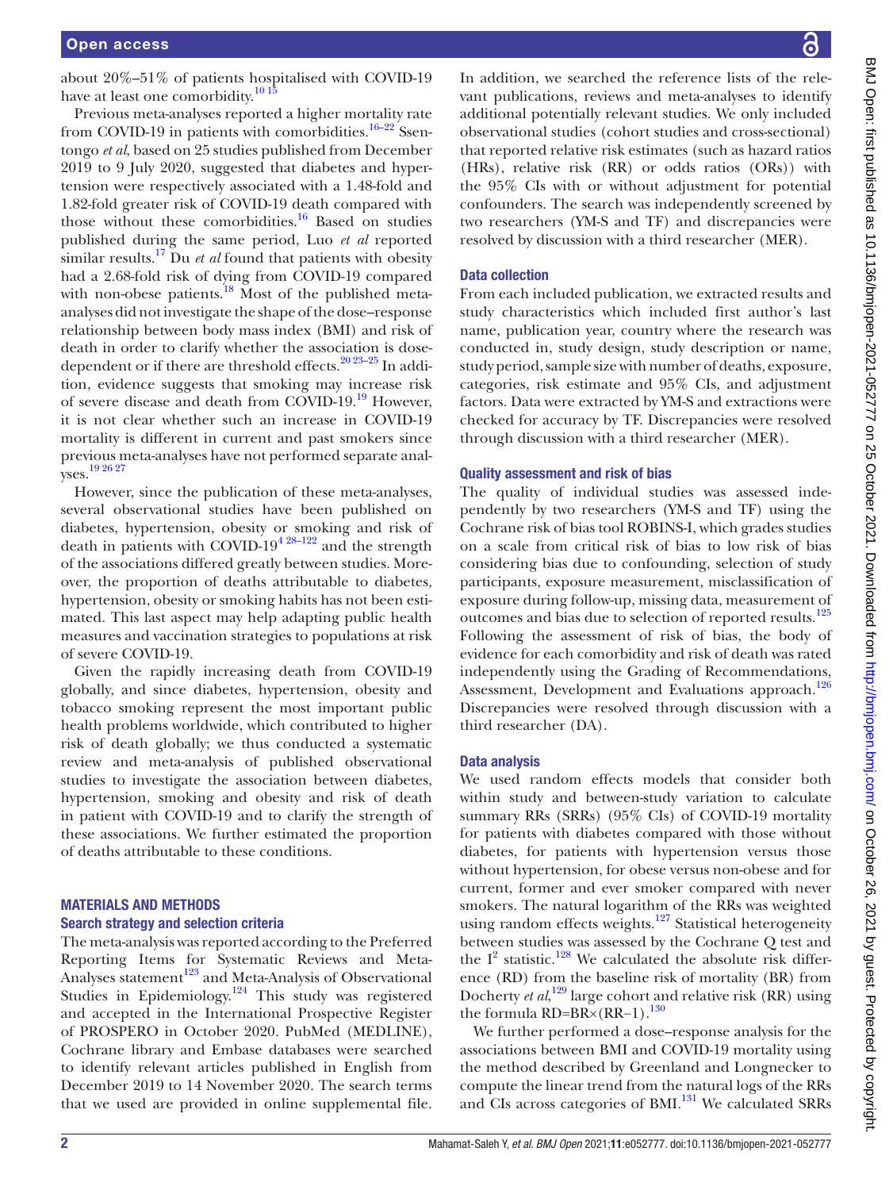about 20%–51% of patients hospitalised with COVID-19 have at least one comorbidity.<sup>10 15</sup>

Previous meta-analyses reported a higher mortality rate from COVID-19 in patients with comorbidities.<sup>16–22</sup> Ssentongo *et al*, based on 25 studies published from December 2019 to 9 July 2020, suggested that diabetes and hypertension were respectively associated with a 1.48-fold and 1.82-fold greater risk of COVID-19 death compared with those without these comorbidities. $16$  Based on studies published during the same period, Luo *et al* reported similar results.<sup>17</sup> Du *et al* found that patients with obesity had a 2.68-fold risk of dying from COVID-19 compared with non-obese patients. $18$  Most of the published metaanalyses did not investigate the shape of the dose–response relationship between body mass index (BMI) and risk of death in order to clarify whether the association is dosedependent or if there are threshold effects.<sup>20 23-25</sup> In addition, evidence suggests that smoking may increase risk of severe disease and death from COVID-19.19 However, it is not clear whether such an increase in COVID-19 mortality is different in current and past smokers since previous meta-analyses have not performed separate analyses.19 26 27

However, since the publication of these meta-analyses, several observational studies have been published on diabetes, hypertension, obesity or smoking and risk of death in patients with COVID-19<sup>4 28–122</sup> and the strength of the associations differed greatly between studies. Moreover, the proportion of deaths attributable to diabetes, hypertension, obesity or smoking habits has not been estimated. This last aspect may help adapting public health measures and vaccination strategies to populations at risk of severe COVID-19.

Given the rapidly increasing death from COVID-19 globally, and since diabetes, hypertension, obesity and tobacco smoking represent the most important public health problems worldwide, which contributed to higher risk of death globally; we thus conducted a systematic review and meta-analysis of published observational studies to investigate the association between diabetes, hypertension, smoking and obesity and risk of death in patient with COVID-19 and to clarify the strength of these associations. We further estimated the proportion of deaths attributable to these conditions.

#### MATERIALS AND METHODS

#### Search strategy and selection criteria

The meta-analysis was reported according to the Preferred Reporting Items for Systematic Reviews and Meta-Analyses statement<sup>123</sup> and Meta-Analysis of Observational Studies in Epidemiology.<sup>124</sup> This study was registered and accepted in the International Prospective Register of PROSPERO in October 2020. PubMed (MEDLINE), Cochrane library and Embase databases were searched to identify relevant articles published in English from December 2019 to 14 November 2020. The search terms that we used are provided in online supplemental file.

In addition, we searched the reference lists of the relevant publications, reviews and meta-analyses to identify additional potentially relevant studies. We only included observational studies (cohort studies and cross-sectional) that reported relative risk estimates (such as hazard ratios (HRs), relative risk (RR) or odds ratios (ORs)) with the 95% CIs with or without adjustment for potential confounders. The search was independently screened by two researchers (YM-S and TF) and discrepancies were resolved by discussion with a third researcher (MER).

#### Data collection

From each included publication, we extracted results and study characteristics which included first author's last name, publication year, country where the research was conducted in, study design, study description or name, study period, sample size with number of deaths, exposure, categories, risk estimate and 95% CIs, and adjustment factors. Data were extracted by YM-S and extractions were checked for accuracy by TF. Discrepancies were resolved through discussion with a third researcher (MER).

#### Quality assessment and risk of bias

The quality of individual studies was assessed independently by two researchers (YM-S and TF) using the Cochrane risk of bias tool ROBINS-I, which grades studies on a scale from critical risk of bias to low risk of bias considering bias due to confounding, selection of study participants, exposure measurement, misclassification of exposure during follow-up, missing data, measurement of outcomes and bias due to selection of reported results.<sup>125</sup> Following the assessment of risk of bias, the body of evidence for each comorbidity and risk of death was rated independently using the Grading of Recommendations, Assessment, Development and Evaluations approach.<sup>126</sup> Discrepancies were resolved through discussion with a third researcher (DA).

#### Data analysis

We used random effects models that consider both within study and between-study variation to calculate summary RRs (SRRs) (95% CIs) of COVID-19 mortality for patients with diabetes compared with those without diabetes, for patients with hypertension versus those without hypertension, for obese versus non-obese and for current, former and ever smoker compared with never smokers. The natural logarithm of the RRs was weighted using random effects weights.<sup>127</sup> Statistical heterogeneity between studies was assessed by the Cochrane Q test and the  $I^2$  statistic.<sup>128</sup> We calculated the absolute risk difference (RD) from the baseline risk of mortality (BR) from Docherty *et al*, 129 large cohort and relative risk (RR) using the formula RD=BR×(RR−1).<sup>130</sup>

We further performed a dose–response analysis for the associations between BMI and COVID-19 mortality using the method described by Greenland and Longnecker to compute the linear trend from the natural logs of the RRs and CIs across categories of BMI.<sup>131</sup> We calculated SRRs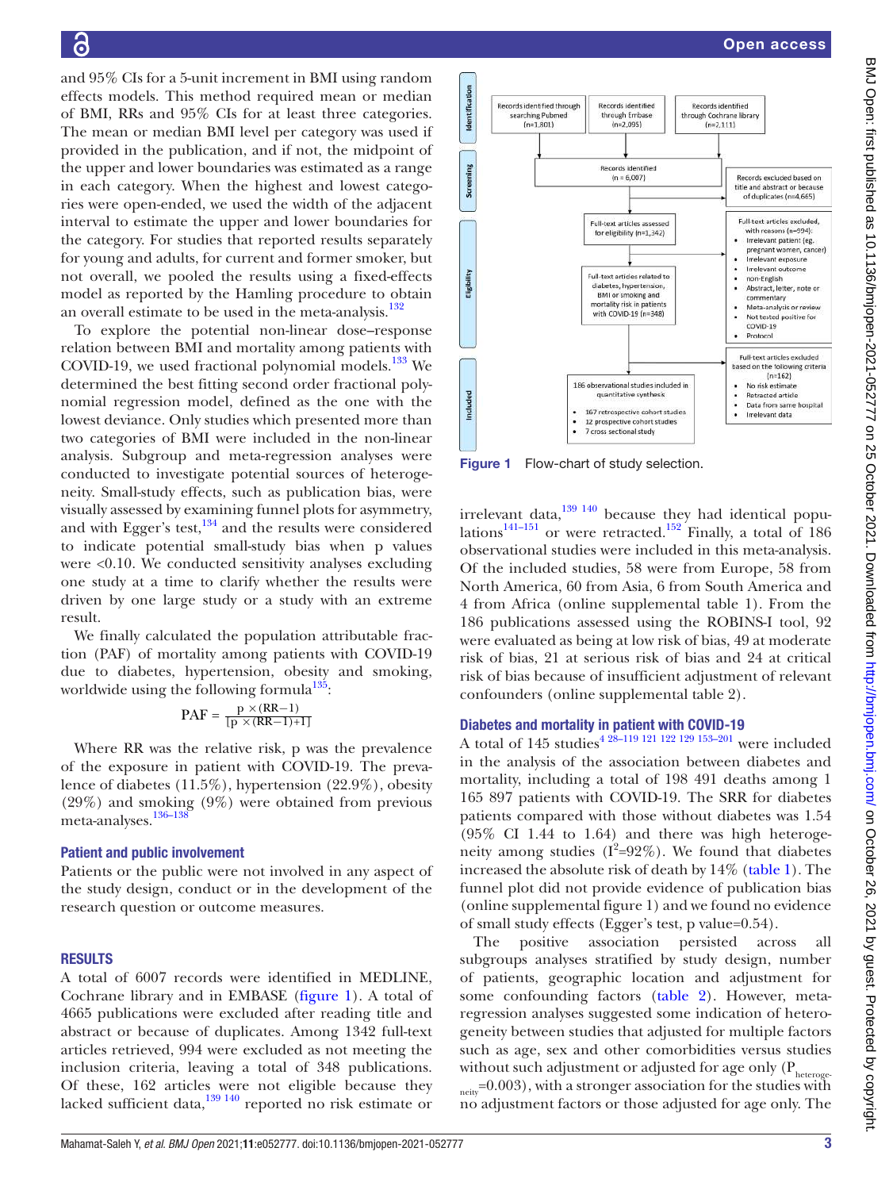and 95% CIs for a 5-unit increment in BMI using random effects models. This method required mean or median of BMI, RRs and 95% CIs for at least three categories. The mean or median BMI level per category was used if provided in the publication, and if not, the midpoint of the upper and lower boundaries was estimated as a range in each category. When the highest and lowest categories were open-ended, we used the width of the adjacent interval to estimate the upper and lower boundaries for the category. For studies that reported results separately for young and adults, for current and former smoker, but not overall, we pooled the results using a fixed-effects model as reported by the Hamling procedure to obtain an overall estimate to be used in the meta-analysis.<sup>132</sup>

To explore the potential non-linear dose–response relation between BMI and mortality among patients with COVID-19, we used fractional polynomial models. $^{133}$  We determined the best fitting second order fractional polynomial regression model, defined as the one with the lowest deviance. Only studies which presented more than two categories of BMI were included in the non-linear analysis. Subgroup and meta-regression analyses were conducted to investigate potential sources of heterogeneity. Small-study effects, such as publication bias, were visually assessed by examining funnel plots for asymmetry, and with Egger's test, $134$  and the results were considered to indicate potential small-study bias when p values were <0.10. We conducted sensitivity analyses excluding one study at a time to clarify whether the results were driven by one large study or a study with an extreme result.

We finally calculated the population attributable fraction (PAF) of mortality among patients with COVID-19 due to diabetes, hypertension, obesity and smoking, worldwide using the following formula $135$ :

$$
PAF = \frac{p \times (RR-1)}{[p \times (RR-1)+1]}
$$

Where RR was the relative risk, p was the prevalence of the exposure in patient with COVID-19. The prevalence of diabetes (11.5%), hypertension (22.9%), obesity (29%) and smoking (9%) were obtained from previous meta-analyses.<sup>136–138</sup>

#### Patient and public involvement

Patients or the public were not involved in any aspect of the study design, conduct or in the development of the research question or outcome measures.

#### RESULTS

A total of 6007 records were identified in MEDLINE, Cochrane library and in EMBASE (figure 1). A total of 4665 publications were excluded after reading title and abstract or because of duplicates. Among 1342 full-text articles retrieved, 994 were excluded as not meeting the inclusion criteria, leaving a total of 348 publications. Of these, 162 articles were not eligible because they lacked sufficient data,<sup>139 140</sup> reported no risk estimate or



Figure 1 Flow-chart of study selection.

irrelevant data, $139$   $140$  because they had identical populations<sup>141–151</sup> or were retracted.<sup>152</sup> Finally, a total of 186 observational studies were included in this meta-analysis. Of the included studies, 58 were from Europe, 58 from North America, 60 from Asia, 6 from South America and 4 from Africa (online supplemental table 1). From the 186 publications assessed using the ROBINS-I tool, 92 were evaluated as being at low risk of bias, 49 at moderate risk of bias, 21 at serious risk of bias and 24 at critical risk of bias because of insufficient adjustment of relevant confounders (online supplemental table 2).

#### Diabetes and mortality in patient with COVID-19

A total of 145 studies<sup>4 28</sup>-<sup>119 121 122 129 153-201</sup> were included in the analysis of the association between diabetes and mortality, including a total of 198 491 deaths among 1 165 897 patients with COVID-19. The SRR for diabetes patients compared with those without diabetes was 1.54 (95% CI 1.44 to 1.64) and there was high heterogeneity among studies  $(I^2=92\%)$ . We found that diabetes increased the absolute risk of death by 14% (table 1). The funnel plot did not provide evidence of publication bias (online supplemental figure 1) and we found no evidence of small study effects (Egger's test, p value=0.54).

The positive association persisted across all subgroups analyses stratified by study design, number of patients, geographic location and adjustment for some confounding factors (table 2). However, metaregression analyses suggested some indication of heterogeneity between studies that adjusted for multiple factors such as age, sex and other comorbidities versus studies without such adjustment or adjusted for age only  $(P_{heteroge})$ 

 $_{\text{neiv}}$ =0.003), with a stronger association for the studies with no adjustment factors or those adjusted for age only. The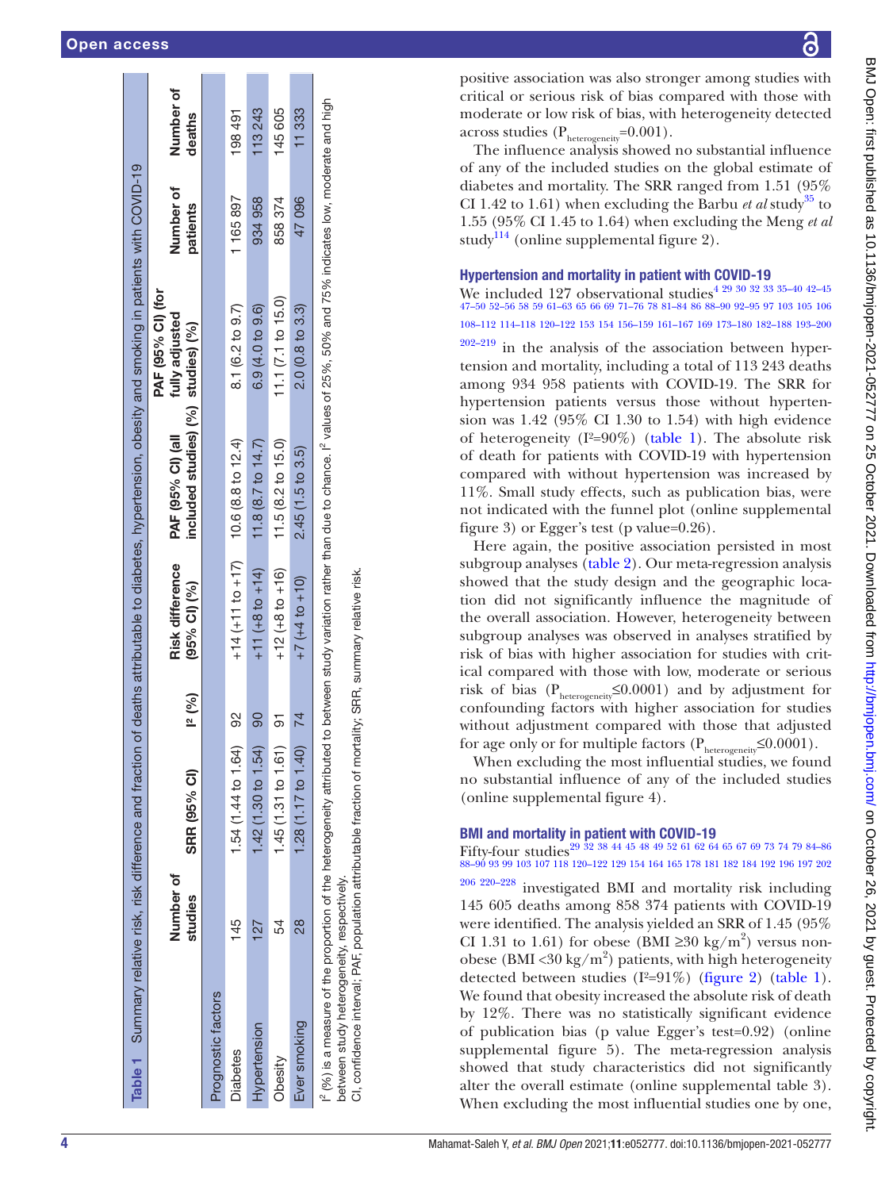|                    |                                                             |               | Table 1 Summary relative risk, risk difference and fraction |        |                        | of deaths attributable to diabetes, hypertension, obesity and smoking in patients with COVID-19                                                                                            |                                     |           |           |
|--------------------|-------------------------------------------------------------|---------------|-------------------------------------------------------------|--------|------------------------|--------------------------------------------------------------------------------------------------------------------------------------------------------------------------------------------|-------------------------------------|-----------|-----------|
|                    |                                                             | Number of     |                                                             |        | Risk difference        | PAF (95% CI) (all                                                                                                                                                                          | PAF (95% CI) (for<br>fully adjusted | Number of | Number of |
|                    |                                                             | studies       | SRR (95% CI)                                                | 12(%)  | (95% CI) (%)           | included studies) (%) studies) (%)                                                                                                                                                         |                                     | patients  | deaths    |
| Prognostic factors |                                                             |               |                                                             |        |                        |                                                                                                                                                                                            |                                     |           |           |
| <b>Diabetes</b>    |                                                             | 145           | 1.54 (1.44 to 1.64)                                         | 8      | $+14$ (+11 to +17)     | 10.6 (8.8 to 12.4)                                                                                                                                                                         | 8.1 (6.2 to 9.7)                    | 1165897   | 198491    |
| Hypertension       |                                                             | 127           | 1.42(1.30 to 1.54)                                          | ဓ္တ    | $+11$ (+8 to +14)      | 11.8 $(8.7 \text{ to } 14.7)$                                                                                                                                                              | 6.9 (4.0 to 9.6)                    | 934958    | 113 243   |
| Obesity            |                                                             | 54            | 1.45(1.31 to 1.61)                                          |        | $+12 (+8 to +16)$      | 11.5(8.2 to 15.0)                                                                                                                                                                          | 11.1(7.1 to 15.0)                   | 858374    | 145 605   |
| Ever smoking       |                                                             | $\frac{8}{2}$ | 1.28 (1.17 to 1.40)                                         | 74     | $+7$ ( $+4$ to $+10$ ) | 2.45(1.5 to 3.5)                                                                                                                                                                           | $2.0(0.8\text{ to }3.3)$            | 47096     | 11333     |
|                    | between study heterogeneity, respectively.<br>$\frac{1}{2}$ |               | $\ddot{\phantom{0}}$                                        | ו<br>ו | Ì.                     | i" (%) is a measure of the proportion of the heterogeneity attributed to between study variation rather than due to chance. If values of 25%, 50% and 75% indicates low, moderate and high |                                     |           |           |

CI, confidence interval; PAF, population attributable fraction of mortality; SRR, summary relative risk. CI, confidence interval; PAF, population attributable fraction of mortality; SRR, summary relative risk

෬

positive association was also stronger among studies with critical or serious risk of bias compared with those with moderate or low risk of bias, with heterogeneity detected across studies  $(P_{heterogeneity}=0.001)$ .

The influence analysis showed no substantial influence of any of the included studies on the global estimate of diabetes and mortality. The SRR ranged from 1.51 (95% CI 1.42 to 1.61) when excluding the Barbu *et al* study<sup>35</sup> to 1.55 (95% CI 1.45 to 1.64) when excluding the Meng *et al* study<sup>114</sup> (online supplemental figure 2).

#### Hypertension and mortality in patient with COVID-19

We included 127 observational studies<sup>4 29 30 32 33 35-40 42-45</sup> 47–50 52–56 58 59 61–63 65 66 69 71–76 78 81–84 86 88–90 92–95 97 103 105 106 108–112 114–118 120–122 153 154 156–159 161–167 169 173–180 182–188 193–200

 $202-219$  in the analysis of the association between hypertension and mortality, including a total of 113 243 deaths among 934 958 patients with COVID-19. The SRR for hypertension patients versus those without hyperten sion was 1.42 (95% CI 1.30 to 1.54) with high evidence of heterogeneity ( $I^2=90\%$ ) (table 1). The absolute risk of death for patients with COVID-19 with hypertension compared with without hypertension was increased by 11%. Small study effects, such as publication bias, were not indicated with the funnel plot (online supplemental figure 3) or Egger's test (p value=0.26).

Here again, the positive association persisted in most subgroup analyses (table 2). Our meta-regression analysis showed that the study design and the geographic location did not significantly influence the magnitude of the overall association. However, heterogeneity between subgroup analyses was observed in analyses stratified by risk of bias with higher association for studies with critical compared with those with low, moderate or serious risk of bias ( $P_{heterogeneity} \leq 0.0001$ ) and by adjustment for confounding factors with higher association for studies without adjustment compared with those that adjusted for age only or for multiple factors ( $P_{heterogeneity} \leq 0.0001$ ).

When excluding the most influential studies, we found no substantial influence of any of the included studies (online supplemental figure 4).

#### BMI and mortality in patient with COVID-19

Fifty-four studies29 32 38 44 45 48 49 52 61 62 64 65 67 69 73 74 79 84–86 88–90 93 99 103 107 118 120–122 129 154 164 165 178 181 182 184 192 196 197 202

206 220–228 investigated BMI and mortality risk including 145 605 deaths among 858 374 patients with COVID-19 were identified. The analysis yielded an SRR of 1.45 (95% CI 1.31 to 1.61) for obese (BMI  $\geq$ 30 kg/m<sup>2</sup>) versus nonobese (BMI <30 kg/m<sup>2</sup>) patients, with high heterogeneity detected between studies  $(I^2=91\%)$  (figure 2) (table 1). We found that obesity increased the absolute risk of death by 12%. There was no statistically significant evidence of publication bias (p value Egger's test=0.92) (online supplemental figure 5). The meta-regression analysis showed that study characteristics did not significantly alter the overall estimate (online supplemental table 3). When excluding the most influential studies one by one,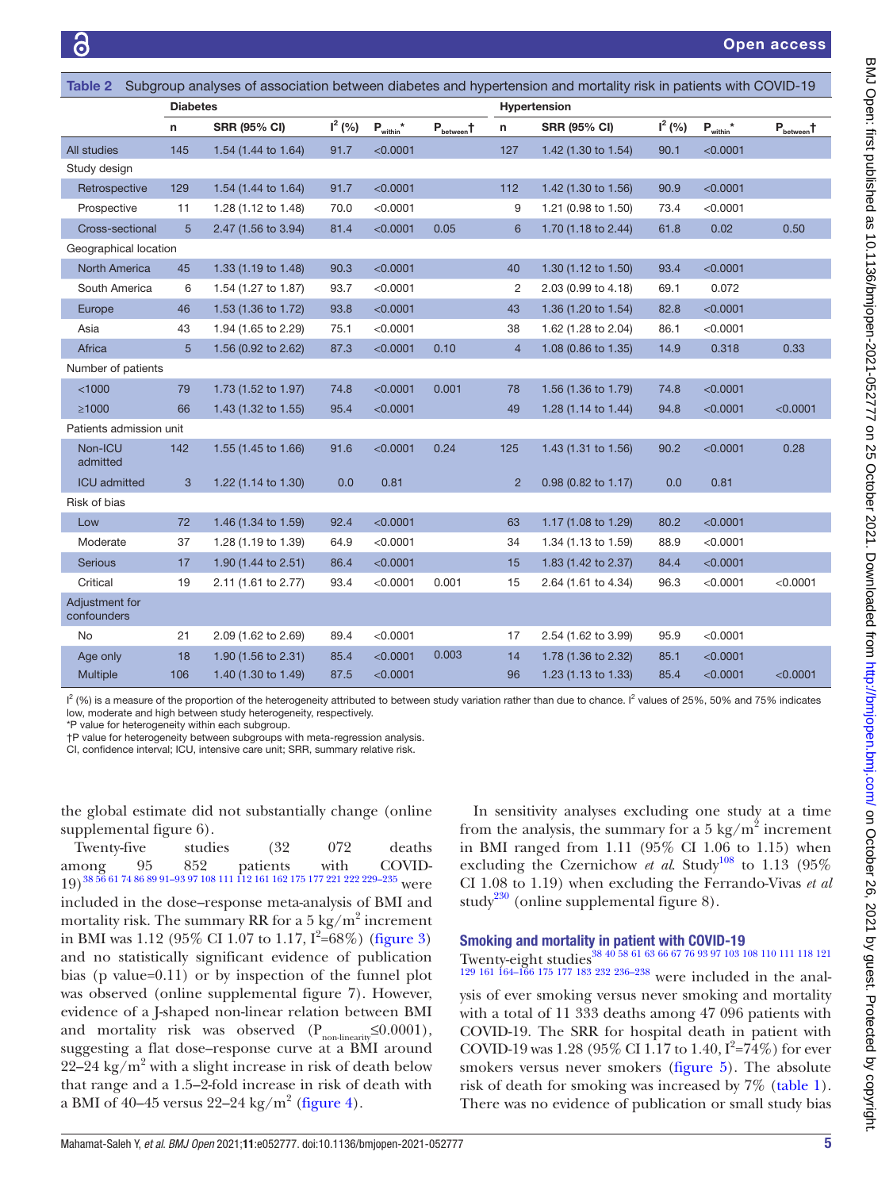| Subgroup analyses of association between diabetes and hypertension and mortality risk in patients with COVID-19<br>Table 2 |                 |                     |           |                                          |                        |                |                     |           |                |                      |
|----------------------------------------------------------------------------------------------------------------------------|-----------------|---------------------|-----------|------------------------------------------|------------------------|----------------|---------------------|-----------|----------------|----------------------|
|                                                                                                                            | <b>Diabetes</b> |                     |           |                                          |                        |                | Hypertension        |           |                |                      |
|                                                                                                                            | n               | <b>SRR (95% CI)</b> | $I^2(% )$ | $\mathsf{P}_{\mathsf{within}}{}^{\star}$ | $P_{\text{between}}$ t | n              | <b>SRR (95% CI)</b> | $I^2(% )$ | $P_{within}^*$ | $P_{\text{between}}$ |
| All studies                                                                                                                | 145             | 1.54 (1.44 to 1.64) | 91.7      | < 0.0001                                 |                        | 127            | 1.42 (1.30 to 1.54) | 90.1      | < 0.0001       |                      |
| Study design                                                                                                               |                 |                     |           |                                          |                        |                |                     |           |                |                      |
| Retrospective                                                                                                              | 129             | 1.54 (1.44 to 1.64) | 91.7      | < 0.0001                                 |                        | 112            | 1.42 (1.30 to 1.56) | 90.9      | < 0.0001       |                      |
| Prospective                                                                                                                | 11              | 1.28 (1.12 to 1.48) | 70.0      | < 0.0001                                 |                        | 9              | 1.21 (0.98 to 1.50) | 73.4      | < 0.0001       |                      |
| Cross-sectional                                                                                                            | $5\phantom{.}$  | 2.47 (1.56 to 3.94) | 81.4      | < 0.0001                                 | 0.05                   | 6              | 1.70 (1.18 to 2.44) | 61.8      | 0.02           | 0.50                 |
| Geographical location                                                                                                      |                 |                     |           |                                          |                        |                |                     |           |                |                      |
| <b>North America</b>                                                                                                       | 45              | 1.33 (1.19 to 1.48) | 90.3      | < 0.0001                                 |                        | 40             | 1.30 (1.12 to 1.50) | 93.4      | < 0.0001       |                      |
| South America                                                                                                              | 6               | 1.54 (1.27 to 1.87) | 93.7      | < 0.0001                                 |                        | 2              | 2.03 (0.99 to 4.18) | 69.1      | 0.072          |                      |
| Europe                                                                                                                     | 46              | 1.53 (1.36 to 1.72) | 93.8      | < 0.0001                                 |                        | 43             | 1.36 (1.20 to 1.54) | 82.8      | < 0.0001       |                      |
| Asia                                                                                                                       | 43              | 1.94 (1.65 to 2.29) | 75.1      | < 0.0001                                 |                        | 38             | 1.62 (1.28 to 2.04) | 86.1      | < 0.0001       |                      |
| Africa                                                                                                                     | 5               | 1.56 (0.92 to 2.62) | 87.3      | < 0.0001                                 | 0.10                   | $\overline{4}$ | 1.08 (0.86 to 1.35) | 14.9      | 0.318          | 0.33                 |
| Number of patients                                                                                                         |                 |                     |           |                                          |                        |                |                     |           |                |                      |
| < 1000                                                                                                                     | 79              | 1.73 (1.52 to 1.97) | 74.8      | < 0.0001                                 | 0.001                  | 78             | 1.56 (1.36 to 1.79) | 74.8      | < 0.0001       |                      |
| $\geq 1000$                                                                                                                | 66              | 1.43 (1.32 to 1.55) | 95.4      | < 0.0001                                 |                        | 49             | 1.28 (1.14 to 1.44) | 94.8      | < 0.0001       | < 0.0001             |
| Patients admission unit                                                                                                    |                 |                     |           |                                          |                        |                |                     |           |                |                      |
| Non-ICU<br>admitted                                                                                                        | 142             | 1.55 (1.45 to 1.66) | 91.6      | < 0.0001                                 | 0.24                   | 125            | 1.43 (1.31 to 1.56) | 90.2      | < 0.0001       | 0.28                 |
| <b>ICU</b> admitted                                                                                                        | $\mathbf{3}$    | 1.22 (1.14 to 1.30) | 0.0       | 0.81                                     |                        | $\overline{2}$ | 0.98 (0.82 to 1.17) | 0.0       | 0.81           |                      |
| Risk of bias                                                                                                               |                 |                     |           |                                          |                        |                |                     |           |                |                      |
| Low                                                                                                                        | 72              | 1.46 (1.34 to 1.59) | 92.4      | < 0.0001                                 |                        | 63             | 1.17 (1.08 to 1.29) | 80.2      | < 0.0001       |                      |
| Moderate                                                                                                                   | 37              | 1.28 (1.19 to 1.39) | 64.9      | < 0.0001                                 |                        | 34             | 1.34 (1.13 to 1.59) | 88.9      | < 0.0001       |                      |
| Serious                                                                                                                    | 17              | 1.90 (1.44 to 2.51) | 86.4      | < 0.0001                                 |                        | 15             | 1.83 (1.42 to 2.37) | 84.4      | < 0.0001       |                      |
| Critical                                                                                                                   | 19              | 2.11 (1.61 to 2.77) | 93.4      | < 0.0001                                 | 0.001                  | 15             | 2.64 (1.61 to 4.34) | 96.3      | < 0.0001       | < 0.0001             |
| Adjustment for<br>confounders                                                                                              |                 |                     |           |                                          |                        |                |                     |           |                |                      |
| <b>No</b>                                                                                                                  | 21              | 2.09 (1.62 to 2.69) | 89.4      | < 0.0001                                 |                        | 17             | 2.54 (1.62 to 3.99) | 95.9      | < 0.0001       |                      |
| Age only                                                                                                                   | 18              | 1.90 (1.56 to 2.31) | 85.4      | < 0.0001                                 | 0.003                  | 14             | 1.78 (1.36 to 2.32) | 85.1      | < 0.0001       |                      |
| Multiple                                                                                                                   | 106             | 1.40 (1.30 to 1.49) | 87.5      | < 0.0001                                 |                        | 96             | 1.23 (1.13 to 1.33) | 85.4      | < 0.0001       | < 0.0001             |

 $I^2$  (%) is a measure of the proportion of the heterogeneity attributed to between study variation rather than due to chance. I<sup>2</sup> values of 25%, 50% and 75% indicates low, moderate and high between study heterogeneity, respectively.

\*P value for heterogeneity within each subgroup.

†P value for heterogeneity between subgroups with meta-regression analysis.

CI, confidence interval; ICU, intensive care unit; SRR, summary relative risk.

the global estimate did not substantially change (online supplemental figure 6).

Twenty-five studies (32 072 deaths among 95 852 patients with COVID- $19)$ <sup>38 56</sup> 61 74 86 89 91–93 97 108 111 112 161 162 175 177 221 222 229–235 were included in the dose–response meta-analysis of BMI and mortality risk. The summary RR for a 5 kg/m<sup>2</sup> increment in BMI was 1.12 (95% CI 1.07 to 1.17,  $I^2 = 68\%$ ) (figure 3) and no statistically significant evidence of publication bias (p value=0.11) or by inspection of the funnel plot was observed (online supplemental figure 7). However, evidence of a J-shaped non-linear relation between BMI and mortality risk was observed  $(P_{non-linearity} \leq 0.0001)$ , suggesting a flat dose–response curve at a BMI around 22–24 kg/m<sup>2</sup> with a slight increase in risk of death below that range and a 1.5–2-fold increase in risk of death with a BMI of 40–45 versus 22–24 kg/m $^2$  (figure 4).

In sensitivity analyses excluding one study at a time from the analysis, the summary for a 5 kg/m<sup>2</sup> increment in BMI ranged from 1.11 (95% CI 1.06 to 1.15) when excluding the Czernichow *et al.* Study<sup>108</sup> to 1.13 (95%) CI 1.08 to 1.19) when excluding the Ferrando-Vivas *et al* study<sup>230</sup> (online supplemental figure 8).

## Smoking and mortality in patient with COVID-19

Twenty-eight studies38 40 58 61 63 66 67 76 93 97 103 108 110 111 118 121

129 161 164–166 175 177 183 232 236–238 were included in the analysis of ever smoking versus never smoking and mortality with a total of 11 333 deaths among 47 096 patients with COVID-19. The SRR for hospital death in patient with COVID-19 was 1.28 (95% CI 1.17 to 1.40,  $I^2 = 74\%$ ) for ever smokers versus never smokers (figure 5). The absolute risk of death for smoking was increased by 7% (table 1). There was no evidence of publication or small study bias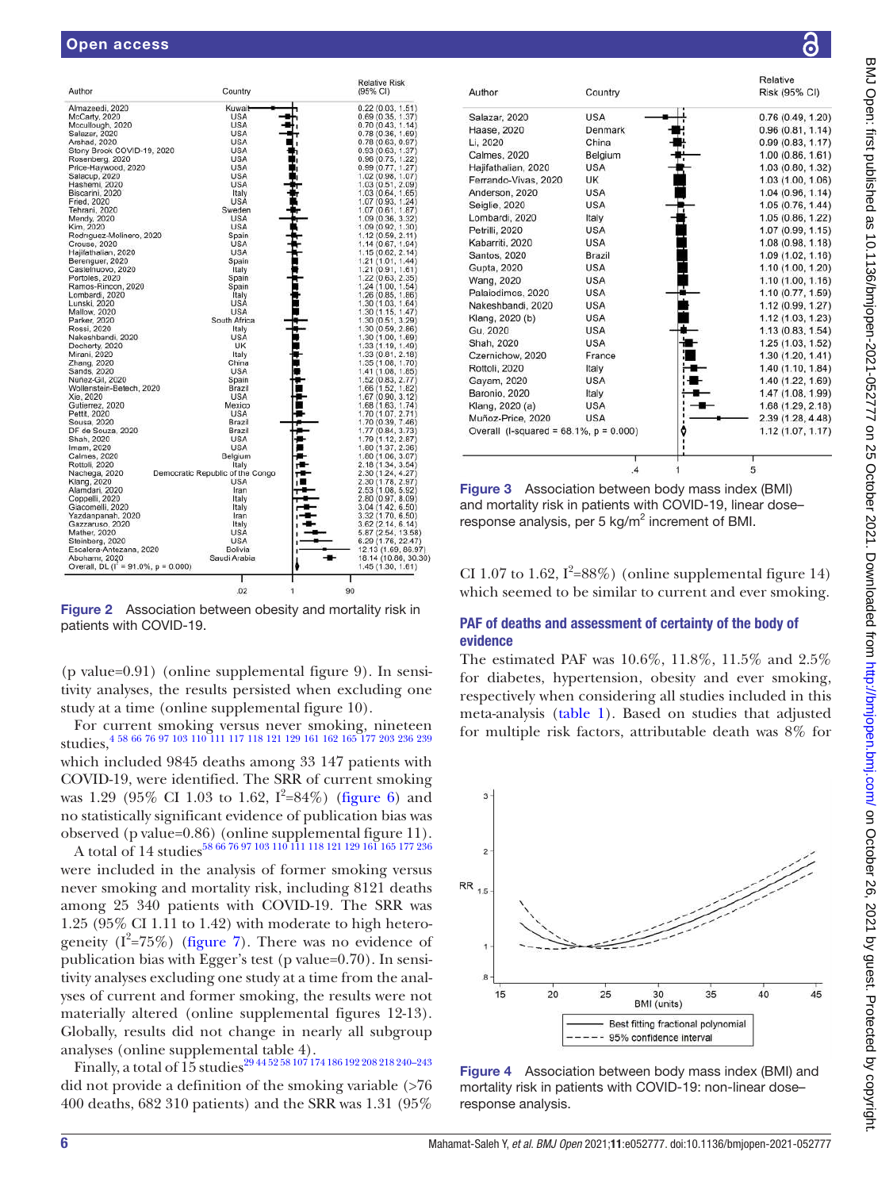| Author                                       | Country                          | <b>Relative Risk</b><br>(95% CI) |
|----------------------------------------------|----------------------------------|----------------------------------|
| Almazeedi, 2020                              | Kuwait                           | 0.22(0.03, 1.51)                 |
| McCarty, 2020                                | <b>USA</b>                       | 0.69(0.35, 1.37)                 |
| Mccullough, 2020                             | <b>USA</b>                       | 0.70(0.43, 1.14)                 |
| Salazar, 2020                                | <b>USA</b>                       | 0.78(0.36, 1.69)                 |
| Arshad, 2020                                 | <b>USA</b>                       | 0.78(0.63, 0.97)                 |
| Stony Brook COVID-19, 2020                   | <b>USA</b>                       | 0.93(0.63, 1.37)                 |
| Rosenberg, 2020                              | <b>USA</b>                       | 0.96(0.75, 1.22)                 |
| Price-Haywood, 2020                          | <b>USA</b>                       | 0.99(0.77, 1.27)                 |
| Salacup, 2020                                | <b>USA</b>                       | 1.02 (0.98, 1.07)                |
| Hashemi, 2020                                | <b>USA</b>                       | 1.03 (0.51, 2.09)                |
|                                              |                                  |                                  |
| Biscarini, 2020                              | Italy                            | 1.03(0.64, 1.65)                 |
| Fried, 2020                                  | <b>USA</b>                       | 1.07 (0.93, 1.24)                |
| Tehrani, 2020                                | Sweden                           | 1.07(0.61, 1.87)                 |
| Mendy, 2020                                  | <b>USA</b>                       | 1.09(0.36, 3.32)                 |
| Kim, 2020                                    | <b>USA</b>                       | 1.09(0.92, 1.30)                 |
| Rodriguez-Molinero, 2020                     | Spain                            | 1.12 (0.59, 2.11)                |
| Crouse, 2020                                 | <b>USA</b>                       | 1.14 (0.67, 1.94)                |
| Hajifathalian, 2020                          | <b>USA</b>                       | 1.15(0.62, 2.14)                 |
| Berenguer, 2020                              | Spain                            | 1.21(1.01, 1.44)                 |
| Castelnuovo, 2020                            | Italy                            | 1.21(0.91, 1.61)                 |
| Portoles, 2020                               | Spain                            | 1.22 (0.63, 2.35)                |
| Ramos-Rincon, 2020                           | Spain                            | 1.24(1.00, 1.54)                 |
| Lombardi, 2020                               | Italy                            | 1.26 (0.85, 1.86)                |
| Lunski, 2020                                 | <b>USA</b>                       | 1.30 (1.03, 1.64)                |
| <b>Mallow, 2020</b>                          | <b>USA</b>                       | 1.30(1.15, 1.47)                 |
| Parker, 2020                                 | South Africa                     | 1.30 (0.51, 3.29)                |
| Rossi, 2020                                  | Italy                            | 1.30 (0.59, 2.86)                |
| Nakeshbandi, 2020                            | <b>USA</b>                       | 1.30 (1.00, 1.69)                |
| Docherty, 2020                               | UK                               | 1.33 (1.19, 1.49)                |
| Mirani, 2020                                 | Italy                            | 1.33 (0.81, 2.18)                |
| Zhang, 2020                                  | China                            | 1.35 (1.08, 1.70)                |
| Sands, 2020                                  | <b>USA</b>                       | 1.41 (1.08, 1.85)                |
| Núñez-Gil, 2020                              | Spain                            | 1.52 (0.83, 2.77)                |
| Wollenstein-Betech, 2020                     | Brazil                           |                                  |
| Xie, 2020                                    | <b>USA</b>                       | 1.66 (1.52, 1.82)                |
|                                              | Mexico                           | 1.67 (0.90, 3.12)                |
| Gutierrez, 2020                              |                                  | 1.68 (1.63, 1.74)                |
| Pettit, 2020                                 | <b>USA</b>                       | 1.70 (1.07, 2.71)                |
| Sousa, 2020                                  | Brazil                           | 1.70 (0.39, 7.46)                |
| DF de Souza, 2020                            | Brazil                           | 1.77 (0.84, 3.73)                |
| Shah, 2020                                   | <b>USA</b>                       | 1.79 (1.12, 2.87)                |
| Imam, 2020                                   | <b>USA</b>                       | 1.80 (1.37, 2.36)                |
| Calmes, 2020                                 | Belgium                          | 1.80 (1.06, 3.07)                |
| Rottoli, 2020                                | Italy                            | 2.18 (1.34, 3.54)                |
| Nachega, 2020                                | Democratic Republic of the Congo | 2.30 (1.24, 4.27)                |
| Klang, 2020                                  | <b>USA</b>                       | 2.30(1.78, 2.97)                 |
| Alamdari, 2020                               | Iran                             | 2.53 (1.08, 5.92)                |
| Coppelli, 2020                               | Italy                            | 2.80 (0.97, 8.09)                |
| Giacomelli, 2020                             | Italy                            | 3.04 (1.42, 6.50)                |
| Yazdanpanah, 2020                            | Iran                             | 3.32 (1.70, 6.50)                |
| Gazzaruso, 2020                              | Italy                            | 3.62(2.14, 6.14)                 |
| Mather, 2020                                 | <b>USA</b>                       | 5.87 (2.54, 13.58)               |
| Steinberg, 2020                              | <b>USA</b>                       | 6.29 (1.76, 22.47)               |
| Escalera-Antezana, 2020                      | Bolivia                          | 12.13 (1.69, 86.97)              |
| Abohamr, 2020                                | Saudi Arabia                     | 18.14 (10.86, 30.30)             |
| Overall, DL ( $I^2 = 91.0\%$ , $p = 0.000$ ) |                                  | 1.45(1.30, 1.61)                 |
|                                              |                                  |                                  |
|                                              | ı                                |                                  |
|                                              | 02                               | 90                               |

Figure 2 Association between obesity and mortality risk in patients with COVID-19.

(p value=0.91) (online supplemental figure 9). In sensitivity analyses, the results persisted when excluding one study at a time (online supplemental figure 10).

For current smoking versus never smoking, nineteen studies, 4 58 66 76 97 103 110 111 117 118 121 129 161 162 165 177 203 236 239

which included 9845 deaths among 33 147 patients with COVID-19, were identified. The SRR of current smoking was 1.29 (95% CI 1.03 to 1.62,  $I^2 = 84\%$ ) (figure 6) and no statistically significant evidence of publication bias was observed (p value=0.86) (online supplemental figure 11).

A total of  $14$  studies $^{58\,66\,76\,97\,103\,110\,111\,118\,121\,129\,16\bar{1}}$  165 177 236 were included in the analysis of former smoking versus never smoking and mortality risk, including 8121 deaths among 25 340 patients with COVID-19. The SRR was 1.25 (95% CI 1.11 to 1.42) with moderate to high heterogeneity ( $I^2 = 75\%$ ) (figure 7). There was no evidence of publication bias with Egger's test (p value=0.70). In sensitivity analyses excluding one study at a time from the analyses of current and former smoking, the results were not materially altered (online supplemental figures 12-13). Globally, results did not change in nearly all subgroup analyses (online supplemental table 4).

Finally, a total of 15 studies29 44 52 58 107 174 186 192 208 218 240–243 did not provide a definition of the smoking variable (>76 400 deaths, 682 310 patients) and the SRR was 1.31 (95%



Figure 3 Association between body mass index (BMI) and mortality risk in patients with COVID-19, linear dose– response analysis, per 5  $kg/m<sup>2</sup>$  increment of BMI.

CI 1.07 to 1.62,  $I^2 = 88\%$ ) (online supplemental figure 14) which seemed to be similar to current and ever smoking.

#### PAF of deaths and assessment of certainty of the body of evidence

The estimated PAF was 10.6%, 11.8%, 11.5% and 2.5% for diabetes, hypertension, obesity and ever smoking, respectively when considering all studies included in this meta-analysis (table 1). Based on studies that adjusted for multiple risk factors, attributable death was 8% for



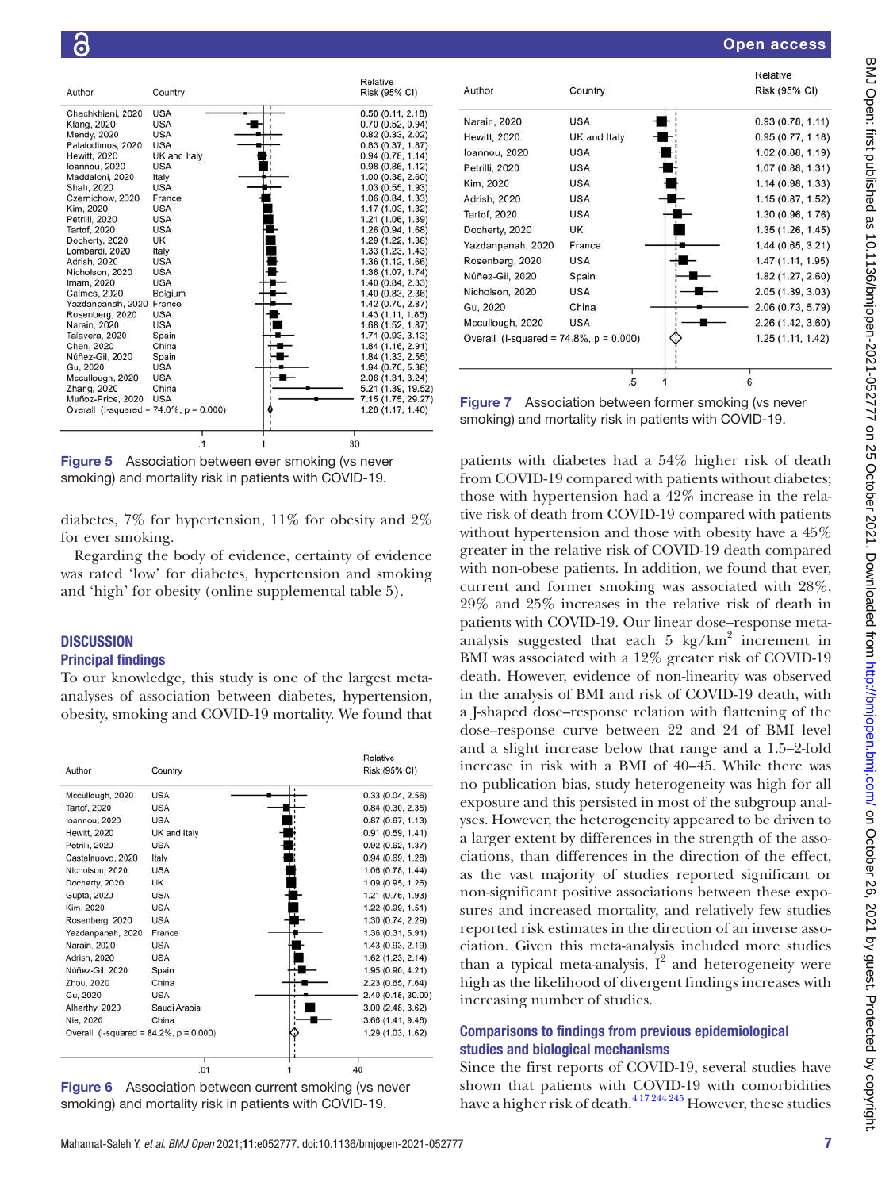

Figure 5 Association between ever smoking (vs never smoking) and mortality risk in patients with COVID-19.

diabetes, 7% for hypertension, 11% for obesity and 2% for ever smoking.

Regarding the body of evidence, certainty of evidence was rated 'low' for diabetes, hypertension and smoking and 'high' for obesity (online supplemental table 5).

# **DISCUSSION**

### Principal findings

To our knowledge, this study is one of the largest metaanalyses of association between diabetes, hypertension, obesity, smoking and COVID-19 mortality. We found that



Figure 6 Association between current smoking (vs never smoking) and mortality risk in patients with COVID-19.



Figure 7 Association between former smoking (vs never smoking) and mortality risk in patients with COVID-19.

patients with diabetes had a 54% higher risk of death from COVID-19 compared with patients without diabetes; those with hypertension had a 42% increase in the relative risk of death from COVID-19 compared with patients without hypertension and those with obesity have a 45% greater in the relative risk of COVID-19 death compared with non-obese patients. In addition, we found that ever, current and former smoking was associated with 28%, 29% and 25% increases in the relative risk of death in patients with COVID-19. Our linear dose–response metaanalysis suggested that each  $5 \text{ kg/km}^2$  increment in BMI was associated with a 12% greater risk of COVID-19 death. However, evidence of non-linearity was observed in the analysis of BMI and risk of COVID-19 death, with a J-shaped dose–response relation with flattening of the dose–response curve between 22 and 24 of BMI level and a slight increase below that range and a 1.5–2-fold increase in risk with a BMI of 40–45. While there was no publication bias, study heterogeneity was high for all exposure and this persisted in most of the subgroup analyses. However, the heterogeneity appeared to be driven to a larger extent by differences in the strength of the associations, than differences in the direction of the effect, as the vast majority of studies reported significant or non-significant positive associations between these exposures and increased mortality, and relatively few studies reported risk estimates in the direction of an inverse association. Given this meta-analysis included more studies than a typical meta-analysis,  $I^2$  and heterogeneity were high as the likelihood of divergent findings increases with increasing number of studies.

## Comparisons to findings from previous epidemiological studies and biological mechanisms

Since the first reports of COVID-19, several studies have shown that patients with COVID-19 with comorbidities have a higher risk of death.<sup>417 244 245</sup> However, these studies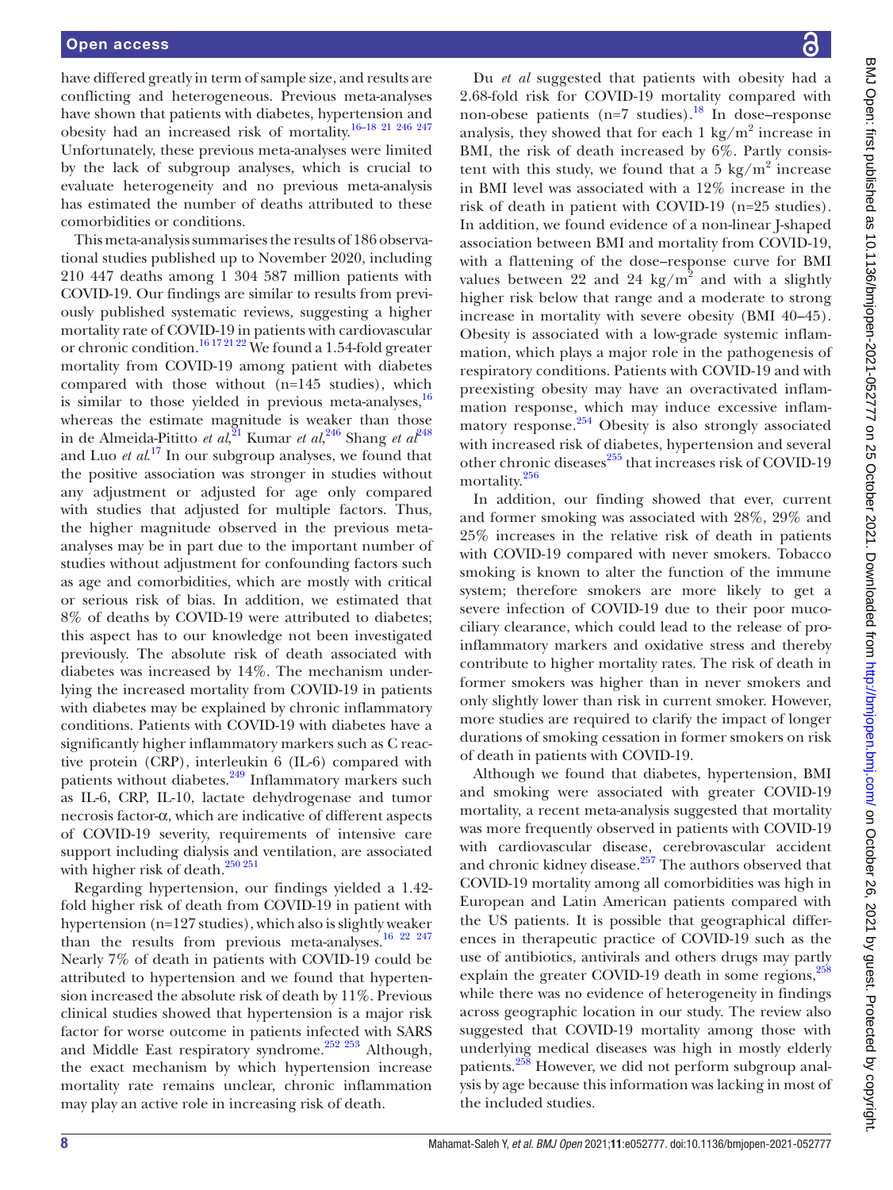have differed greatly in term of sample size, and results are conflicting and heterogeneous. Previous meta-analyses have shown that patients with diabetes, hypertension and obesity had an increased risk of mortality. 16–18 21 246 247 Unfortunately, these previous meta-analyses were limited by the lack of subgroup analyses, which is crucial to evaluate heterogeneity and no previous meta-analysis has estimated the number of deaths attributed to these comorbidities or conditions.

This meta-analysis summarises the results of 186 observational studies published up to November 2020, including 210 447 deaths among 1 304 587 million patients with COVID-19. Our findings are similar to results from previously published systematic reviews, suggesting a higher mortality rate of COVID-19 in patients with cardiovascular or chronic condition.<sup>16 17 21 22</sup> We found a 1.54-fold greater mortality from COVID-19 among patient with diabetes compared with those without (n=145 studies), which is similar to those yielded in previous meta-analyses,  $16$ whereas the estimate magnitude is weaker than those in de Almeida-Pititto *et al*,<sup>21</sup> Kumar *et al*,<sup>246</sup> Shang *et al*<sup>248</sup> and Luo *et al*. 17 In our subgroup analyses, we found that the positive association was stronger in studies without any adjustment or adjusted for age only compared with studies that adjusted for multiple factors. Thus, the higher magnitude observed in the previous metaanalyses may be in part due to the important number of studies without adjustment for confounding factors such as age and comorbidities, which are mostly with critical or serious risk of bias. In addition, we estimated that 8% of deaths by COVID-19 were attributed to diabetes; this aspect has to our knowledge not been investigated previously. The absolute risk of death associated with diabetes was increased by 14%. The mechanism underlying the increased mortality from COVID-19 in patients with diabetes may be explained by chronic inflammatory conditions. Patients with COVID-19 with diabetes have a significantly higher inflammatory markers such as C reactive protein (CRP), interleukin 6 (IL-6) compared with patients without diabetes. $249$  Inflammatory markers such as IL-6, CRP, IL-10, lactate dehydrogenase and tumor necrosis factor-α, which are indicative of different aspects of COVID-19 severity, requirements of intensive care support including dialysis and ventilation, are associated with higher risk of death. $250\,251$ 

Regarding hypertension, our findings yielded a 1.42 fold higher risk of death from COVID-19 in patient with hypertension (n=127 studies), which also is slightly weaker than the results from previous meta-analyses.<sup>16</sup> <sup>22</sup> <sup>247</sup> Nearly 7% of death in patients with COVID-19 could be attributed to hypertension and we found that hypertension increased the absolute risk of death by 11%. Previous clinical studies showed that hypertension is a major risk factor for worse outcome in patients infected with SARS and Middle East respiratory syndrome.<sup>252 253</sup> Although, the exact mechanism by which hypertension increase mortality rate remains unclear, chronic inflammation may play an active role in increasing risk of death.

Du *et al* suggested that patients with obesity had a 2.68-fold risk for COVID-19 mortality compared with non-obese patients (n=7 studies).<sup>18</sup> In dose–response analysis, they showed that for each  $1 \text{ kg/m}^2$  increase in BMI, the risk of death increased by 6%. Partly consistent with this study, we found that a 5 kg/ $m^2$  increase in BMI level was associated with a 12% increase in the risk of death in patient with COVID-19 (n=25 studies). In addition, we found evidence of a non-linear J-shaped association between BMI and mortality from COVID-19, with a flattening of the dose–response curve for BMI values between 22 and 24 kg/m<sup>2</sup> and with a slightly higher risk below that range and a moderate to strong increase in mortality with severe obesity (BMI 40–45). Obesity is associated with a low-grade systemic inflammation, which plays a major role in the pathogenesis of respiratory conditions. Patients with COVID-19 and with preexisting obesity may have an overactivated inflammation response, which may induce excessive inflammatory response. $254$  Obesity is also strongly associated with increased risk of diabetes, hypertension and several other chronic diseases<sup>255</sup> that increases risk of COVID-19 mortality.<sup>256</sup>

In addition, our finding showed that ever, current and former smoking was associated with 28%, 29% and 25% increases in the relative risk of death in patients with COVID-19 compared with never smokers. Tobacco smoking is known to alter the function of the immune system; therefore smokers are more likely to get a severe infection of COVID-19 due to their poor mucociliary clearance, which could lead to the release of proinflammatory markers and oxidative stress and thereby contribute to higher mortality rates. The risk of death in former smokers was higher than in never smokers and only slightly lower than risk in current smoker. However, more studies are required to clarify the impact of longer durations of smoking cessation in former smokers on risk of death in patients with COVID-19.

Although we found that diabetes, hypertension, BMI and smoking were associated with greater COVID-19 mortality, a recent meta-analysis suggested that mortality was more frequently observed in patients with COVID-19 with cardiovascular disease, cerebrovascular accident and chronic kidney disease.<sup>257</sup> The authors observed that COVID-19 mortality among all comorbidities was high in European and Latin American patients compared with the US patients. It is possible that geographical differences in therapeutic practice of COVID-19 such as the use of antibiotics, antivirals and others drugs may partly explain the greater COVID-19 death in some regions,<sup>258</sup> while there was no evidence of heterogeneity in findings across geographic location in our study. The review also suggested that COVID-19 mortality among those with underlying medical diseases was high in mostly elderly patients.<sup>258</sup> However, we did not perform subgroup analysis by age because this information was lacking in most of the included studies.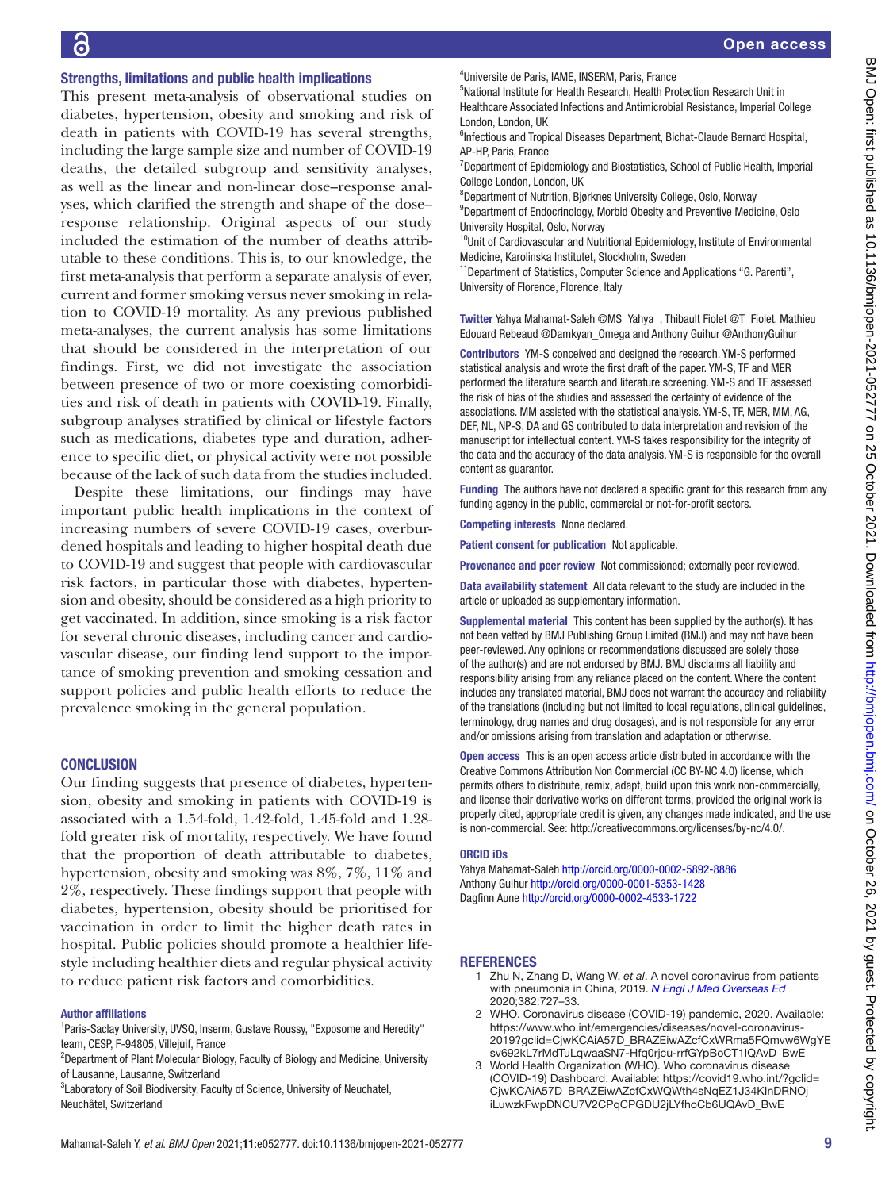#### Strengths, limitations and public health implications

This present meta-analysis of observational studies on diabetes, hypertension, obesity and smoking and risk of death in patients with COVID-19 has several strengths, including the large sample size and number of COVID-19 deaths, the detailed subgroup and sensitivity analyses, as well as the linear and non-linear dose–response analyses, which clarified the strength and shape of the dose– response relationship. Original aspects of our study included the estimation of the number of deaths attributable to these conditions. This is, to our knowledge, the first meta-analysis that perform a separate analysis of ever, current and former smoking versus never smoking in relation to COVID-19 mortality. As any previous published meta-analyses, the current analysis has some limitations that should be considered in the interpretation of our findings. First, we did not investigate the association between presence of two or more coexisting comorbidities and risk of death in patients with COVID-19. Finally, subgroup analyses stratified by clinical or lifestyle factors such as medications, diabetes type and duration, adherence to specific diet, or physical activity were not possible because of the lack of such data from the studies included.

Despite these limitations, our findings may have important public health implications in the context of increasing numbers of severe COVID-19 cases, overburdened hospitals and leading to higher hospital death due to COVID-19 and suggest that people with cardiovascular risk factors, in particular those with diabetes, hypertension and obesity, should be considered as a high priority to get vaccinated. In addition, since smoking is a risk factor for several chronic diseases, including cancer and cardiovascular disease, our finding lend support to the importance of smoking prevention and smoking cessation and support policies and public health efforts to reduce the prevalence smoking in the general population.

#### **CONCLUSION**

Our finding suggests that presence of diabetes, hypertension, obesity and smoking in patients with COVID-19 is associated with a 1.54-fold, 1.42-fold, 1.45-fold and 1.28 fold greater risk of mortality, respectively. We have found that the proportion of death attributable to diabetes, hypertension, obesity and smoking was 8%, 7%, 11% and 2%, respectively. These findings support that people with diabetes, hypertension, obesity should be prioritised for vaccination in order to limit the higher death rates in hospital. Public policies should promote a healthier lifestyle including healthier diets and regular physical activity to reduce patient risk factors and comorbidities.

#### Author affiliations

<sup>1</sup>Paris-Saclay University, UVSQ, Inserm, Gustave Roussy, "Exposome and Heredity" team, CESP, F-94805, Villejuif, France

<sup>2</sup>Department of Plant Molecular Biology, Faculty of Biology and Medicine, University of Lausanne, Lausanne, Switzerland

<sup>3</sup>Laboratory of Soil Biodiversity, Faculty of Science, University of Neuchatel, Neuchâtel, Switzerland

5 National Institute for Health Research, Health Protection Research Unit in Healthcare Associated Infections and Antimicrobial Resistance, Imperial College London, London, UK

<sup>6</sup>Infectious and Tropical Diseases Department, Bichat-Claude Bernard Hospital, AP-HP, Paris, France

<sup>7</sup>Department of Epidemiology and Biostatistics, School of Public Health, Imperial College London, London, UK

8 Department of Nutrition, Bjørknes University College, Oslo, Norway <sup>9</sup>Department of Endocrinology, Morbid Obesity and Preventive Medicine, Oslo University Hospital, Oslo, Norway

<sup>10</sup>Unit of Cardiovascular and Nutritional Epidemiology, Institute of Environmental Medicine, Karolinska Institutet, Stockholm, Sweden

<sup>11</sup>Department of Statistics, Computer Science and Applications "G. Parenti", University of Florence, Florence, Italy

Twitter Yahya Mahamat-Saleh @MS\_Yahya\_, Thibault Fiolet @T\_Fiolet, Mathieu Edouard Rebeaud @Damkyan\_Omega and Anthony Guihur @AnthonyGuihur

Contributors YM-S conceived and designed the research. YM-S performed statistical analysis and wrote the first draft of the paper. YM-S, TF and MER performed the literature search and literature screening. YM-S and TF assessed the risk of bias of the studies and assessed the certainty of evidence of the associations. MM assisted with the statistical analysis. YM-S, TF, MER, MM, AG, DEF, NL, NP-S, DA and GS contributed to data interpretation and revision of the manuscript for intellectual content. YM-S takes responsibility for the integrity of the data and the accuracy of the data analysis. YM-S is responsible for the overall content as guarantor.

Funding The authors have not declared a specific grant for this research from any funding agency in the public, commercial or not-for-profit sectors.

Competing interests None declared.

Patient consent for publication Not applicable.

Provenance and peer review Not commissioned; externally peer reviewed.

Data availability statement All data relevant to the study are included in the article or uploaded as supplementary information.

Supplemental material This content has been supplied by the author(s). It has not been vetted by BMJ Publishing Group Limited (BMJ) and may not have been peer-reviewed. Any opinions or recommendations discussed are solely those of the author(s) and are not endorsed by BMJ. BMJ disclaims all liability and responsibility arising from any reliance placed on the content. Where the content includes any translated material, BMJ does not warrant the accuracy and reliability of the translations (including but not limited to local regulations, clinical guidelines, terminology, drug names and drug dosages), and is not responsible for any error and/or omissions arising from translation and adaptation or otherwise.

Open access This is an open access article distributed in accordance with the Creative Commons Attribution Non Commercial (CC BY-NC 4.0) license, which permits others to distribute, remix, adapt, build upon this work non-commercially, and license their derivative works on different terms, provided the original work is properly cited, appropriate credit is given, any changes made indicated, and the use is non-commercial. See: http://creativecommons.org/licenses/by-nc/4.0/.

#### ORCID iDs

Yahya Mahamat-Saleh http://orcid.org/0000-0002-5892-8886 Anthony Guihur http://orcid.org/0000-0001-5353-1428 Dagfinn Aune http://orcid.org/0000-0002-4533-1722

#### **REFERENCES**

- 1 Zhu N, Zhang D, Wang W, *et al*. A novel coronavirus from patients with pneumonia in China, 2019. *N Engl J Med Overseas Ed* 2020;382:727–33.
- 2 WHO. Coronavirus disease (COVID-19) pandemic, 2020. Available: https://www.who.int/emergencies/diseases/novel-coronavirus-2019?gclid=CjwKCAiA57D\_BRAZEiwAZcfCxWRma5FQmvw6WgYE sv692kL7rMdTuLqwaaSN7-Hfq0rjcu-rrfGYpBoCT1IQAvD\_BwE
- 3 World Health Organization (WHO). Who coronavirus disease (COVID-19) Dashboard. Available: https://covid19.who.int/?gclid= CjwKCAiA57D\_BRAZEiwAZcfCxWQWth4sNqEZ1J34KInDRNOj iLuwzkFwpDNCU7V2CPqCPGDU2jLYfhoCb6UQAvD\_BwE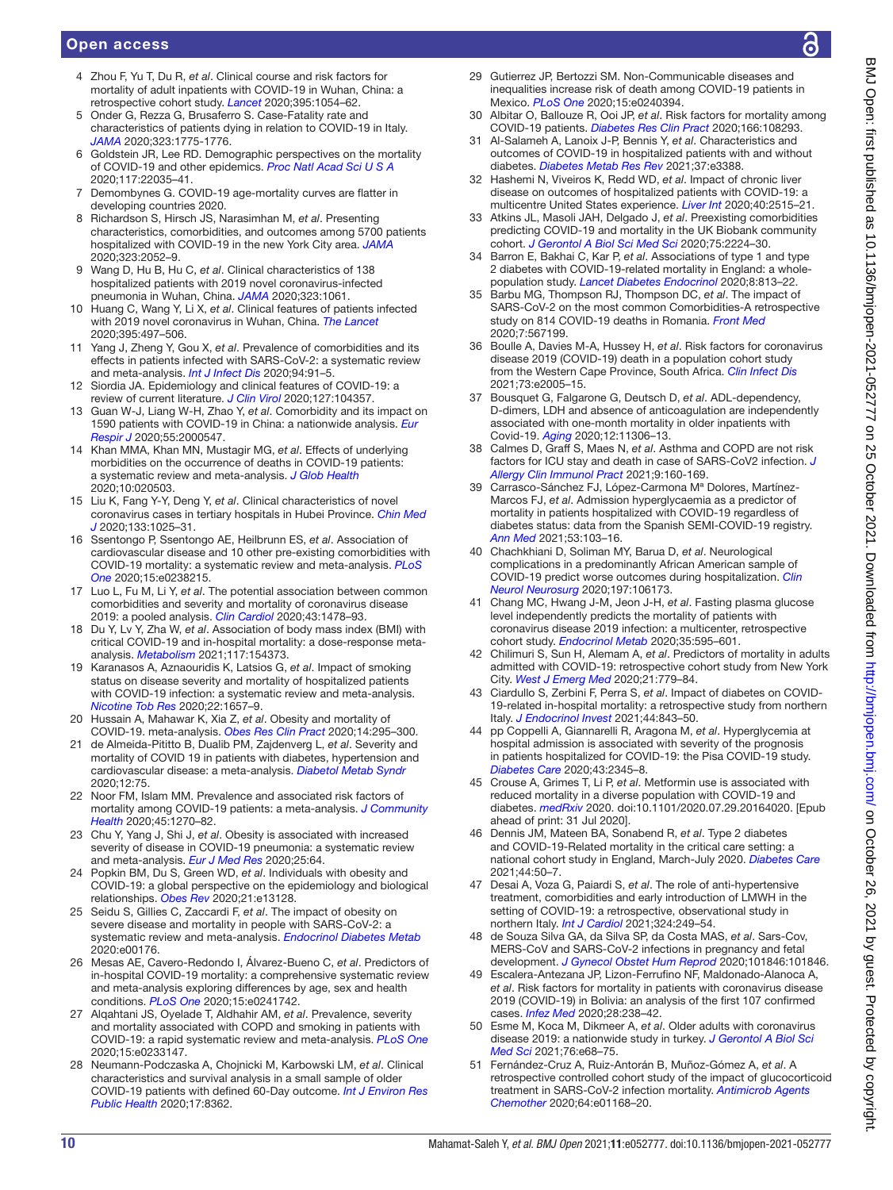- 4 Zhou F, Yu T, Du R, *et al*. Clinical course and risk factors for mortality of adult inpatients with COVID-19 in Wuhan, China: a retrospective cohort study. *Lancet* 2020;395:1054–62.
- 5 Onder G, Rezza G, Brusaferro S. Case-Fatality rate and characteristics of patients dying in relation to COVID-19 in Italy. *JAMA* 2020;323:1775-1776.
- 6 Goldstein JR, Lee RD. Demographic perspectives on the mortality of COVID-19 and other epidemics. *Proc Natl Acad Sci U S A* 2020;117:22035–41.
- 7 Demombynes G. COVID-19 age-mortality curves are flatter in developing countries 2020.
- 8 Richardson S, Hirsch JS, Narasimhan M, *et al*. Presenting characteristics, comorbidities, and outcomes among 5700 patients hospitalized with COVID-19 in the new York City area. *JAMA* 2020;323:2052–9.
- 9 Wang D, Hu B, Hu C, *et al*. Clinical characteristics of 138 hospitalized patients with 2019 novel coronavirus-infected pneumonia in Wuhan, China. *JAMA* 2020;323:1061.
- Huang C, Wang Y, Li X, *et al.* Clinical features of patients infected with 2019 novel coronavirus in Wuhan, China. *The Lancet* 2020;395:497–506.
- 11 Yang J, Zheng Y, Gou X, *et al*. Prevalence of comorbidities and its effects in patients infected with SARS-CoV-2: a systematic review and meta-analysis. *Int J Infect Dis* 2020;94:91–5.
- 12 Siordia JA. Epidemiology and clinical features of COVID-19: a review of current literature. *J Clin Virol* 2020;127:104357.
- 13 Guan W-J, Liang W-H, Zhao Y, *et al*. Comorbidity and its impact on 1590 patients with COVID-19 in China: a nationwide analysis. *Eur Respir J* 2020;55:2000547.
- 14 Khan MMA, Khan MN, Mustagir MG, *et al*. Effects of underlying morbidities on the occurrence of deaths in COVID-19 patients: a systematic review and meta-analysis. *J Glob Health* 2020;10:020503.
- 15 Liu K, Fang Y-Y, Deng Y, *et al*. Clinical characteristics of novel coronavirus cases in tertiary hospitals in Hubei Province. *Chin Med J* 2020;133:1025–31.
- 16 Ssentongo P, Ssentongo AE, Heilbrunn ES, *et al*. Association of cardiovascular disease and 10 other pre-existing comorbidities with COVID-19 mortality: a systematic review and meta-analysis. *PLoS One* 2020;15:e0238215.
- 17 Luo L, Fu M, Li Y, *et al*. The potential association between common comorbidities and severity and mortality of coronavirus disease 2019: a pooled analysis. *Clin Cardiol* 2020;43:1478–93.
- 18 Du Y, Lv Y, Zha W, *et al*. Association of body mass index (BMI) with critical COVID-19 and in-hospital mortality: a dose-response metaanalysis. *Metabolism* 2021;117:154373.
- 19 Karanasos A, Aznaouridis K, Latsios G, *et al*. Impact of smoking status on disease severity and mortality of hospitalized patients with COVID-19 infection: a systematic review and meta-analysis. *Nicotine Tob Res* 2020;22:1657–9.
- 20 Hussain A, Mahawar K, Xia Z, *et al*. Obesity and mortality of COVID-19. meta-analysis. *Obes Res Clin Pract* 2020;14:295–300.
- 21 de Almeida-Pititto B, Dualib PM, Zajdenverg L, *et al*. Severity and mortality of COVID 19 in patients with diabetes, hypertension and cardiovascular disease: a meta-analysis. *Diabetol Metab Syndr* 2020;12:75.
- 22 Noor FM, Islam MM. Prevalence and associated risk factors of mortality among COVID-19 patients: a meta-analysis. *J Community Health* 2020;45:1270–82.
- 23 Chu Y, Yang J, Shi J, *et al*. Obesity is associated with increased severity of disease in COVID-19 pneumonia: a systematic review and meta-analysis. *Eur J Med Res* 2020;25:64.
- 24 Popkin BM, Du S, Green WD, *et al*. Individuals with obesity and COVID-19: a global perspective on the epidemiology and biological relationships. *Obes Rev* 2020;21:e13128.
- 25 Seidu S, Gillies C, Zaccardi F, *et al*. The impact of obesity on severe disease and mortality in people with SARS-CoV-2: a systematic review and meta-analysis. *Endocrinol Diabetes Metab* 2020:e00176.
- 26 Mesas AE, Cavero-Redondo I, Álvarez-Bueno C, *et al*. Predictors of in-hospital COVID-19 mortality: a comprehensive systematic review and meta-analysis exploring differences by age, sex and health conditions. *PLoS One* 2020;15:e0241742.
- 27 Alqahtani JS, Oyelade T, Aldhahir AM, *et al*. Prevalence, severity and mortality associated with COPD and smoking in patients with COVID-19: a rapid systematic review and meta-analysis. *PLoS One* 2020;15:e0233147.
- 28 Neumann-Podczaska A, Chojnicki M, Karbowski LM, *et al*. Clinical characteristics and survival analysis in a small sample of older COVID-19 patients with defined 60-Day outcome. *Int J Environ Res Public Health* 2020;17:8362.
- 29 Gutierrez JP, Bertozzi SM. Non-Communicable diseases and inequalities increase risk of death among COVID-19 patients in Mexico. *PLoS One* 2020;15:e0240394.
- 30 Albitar O, Ballouze R, Ooi JP, *et al*. Risk factors for mortality among COVID-19 patients. *Diabetes Res Clin Pract* 2020;166:108293.
- 31 Al-Salameh A, Lanoix J-P, Bennis Y, *et al*. Characteristics and outcomes of COVID-19 in hospitalized patients with and without diabetes. *Diabetes Metab Res Rev* 2021;37:e3388.
- 32 Hashemi N, Viveiros K, Redd WD, *et al*. Impact of chronic liver disease on outcomes of hospitalized patients with COVID-19: a multicentre United States experience. *Liver Int* 2020;40:2515–21.
- 33 Atkins JL, Masoli JAH, Delgado J, *et al*. Preexisting comorbidities predicting COVID-19 and mortality in the UK Biobank community cohort. *J Gerontol A Biol Sci Med Sci* 2020;75:2224–30.
- 34 Barron E, Bakhai C, Kar P, *et al*. Associations of type 1 and type 2 diabetes with COVID-19-related mortality in England: a wholepopulation study. *Lancet Diabetes Endocrinol* 2020;8:813–22.
- 35 Barbu MG, Thompson RJ, Thompson DC, *et al*. The impact of SARS-CoV-2 on the most common Comorbidities-A retrospective study on 814 COVID-19 deaths in Romania. *Front Med* 2020;7:567199.
- 36 Boulle A, Davies M-A, Hussey H, *et al*. Risk factors for coronavirus disease 2019 (COVID-19) death in a population cohort study from the Western Cape Province, South Africa. *Clin Infect Dis* 2021;73:e2005–15.
- 37 Bousquet G, Falgarone G, Deutsch D, *et al*. ADL-dependency, D-dimers, LDH and absence of anticoagulation are independently associated with one-month mortality in older inpatients with Covid-19. *Aging* 2020;12:11306–13.
- 38 Calmes D, Graff S, Maes N, *et al*. Asthma and COPD are not risk factors for ICU stay and death in case of SARS-CoV2 infection. *J Allergy Clin Immunol Pract* 2021;9:160-169.
- 39 Carrasco-Sánchez FJ, López-Carmona Mª Dolores, Martínez-Marcos FJ, *et al*. Admission hyperglycaemia as a predictor of mortality in patients hospitalized with COVID-19 regardless of diabetes status: data from the Spanish SEMI-COVID-19 registry. *Ann Med* 2021;53:103–16.
- 40 Chachkhiani D, Soliman MY, Barua D, *et al*. Neurological complications in a predominantly African American sample of COVID-19 predict worse outcomes during hospitalization. *Clin Neurol Neurosurg* 2020;197:106173.
- 41 Chang MC, Hwang J-M, Jeon J-H, *et al*. Fasting plasma glucose level independently predicts the mortality of patients with coronavirus disease 2019 infection: a multicenter, retrospective cohort study. *Endocrinol Metab* 2020;35:595–601.
- 42 Chilimuri S, Sun H, Alemam A, *et al*. Predictors of mortality in adults admitted with COVID-19: retrospective cohort study from New York City. *West J Emerg Med* 2020;21:779–84.
- 43 Ciardullo S, Zerbini F, Perra S, *et al*. Impact of diabetes on COVID-19-related in-hospital mortality: a retrospective study from northern Italy. *J Endocrinol Invest* 2021;44:843–50.
- 44 pp Coppelli A, Giannarelli R, Aragona M, *et al*. Hyperglycemia at hospital admission is associated with severity of the prognosis in patients hospitalized for COVID-19: the Pisa COVID-19 study. *Diabetes Care* 2020;43:2345–8.
- 45 Crouse A, Grimes T, Li P, *et al*. Metformin use is associated with reduced mortality in a diverse population with COVID-19 and diabetes. *medRxiv* 2020. doi:10.1101/2020.07.29.20164020. [Epub ahead of print: 31 Jul 2020].
- 46 Dennis JM, Mateen BA, Sonabend R, *et al*. Type 2 diabetes and COVID-19-Related mortality in the critical care setting: a national cohort study in England, March-July 2020. *Diabetes Care* 2021;44:50–7.
- 47 Desai A, Voza G, Paiardi S, *et al*. The role of anti-hypertensive treatment, comorbidities and early introduction of LMWH in the setting of COVID-19: a retrospective, observational study in northern Italy. *Int J Cardiol* 2021;324:249–54.
- 48 de Souza Silva GA, da Silva SP, da Costa MAS, *et al*. Sars-Cov, MERS-CoV and SARS-CoV-2 infections in pregnancy and fetal development. *J Gynecol Obstet Hum Reprod* 2020;101846:101846.
- 49 Escalera-Antezana JP, Lizon-Ferrufino NF, Maldonado-Alanoca A, *et al*. Risk factors for mortality in patients with coronavirus disease 2019 (COVID-19) in Bolivia: an analysis of the first 107 confirmed cases. *Infez Med* 2020;28:238–42.
- 50 Esme M, Koca M, Dikmeer A, *et al*. Older adults with coronavirus disease 2019: a nationwide study in turkey. *J Gerontol A Biol Sci Med Sci* 2021;76:e68–75.
- 51 Fernández-Cruz A, Ruiz-Antorán B, Muñoz-Gómez A, *et al*. A retrospective controlled cohort study of the impact of glucocorticoid treatment in SARS-CoV-2 infection mortality. *Antimicrob Agents Chemother* 2020;64:e01168–20.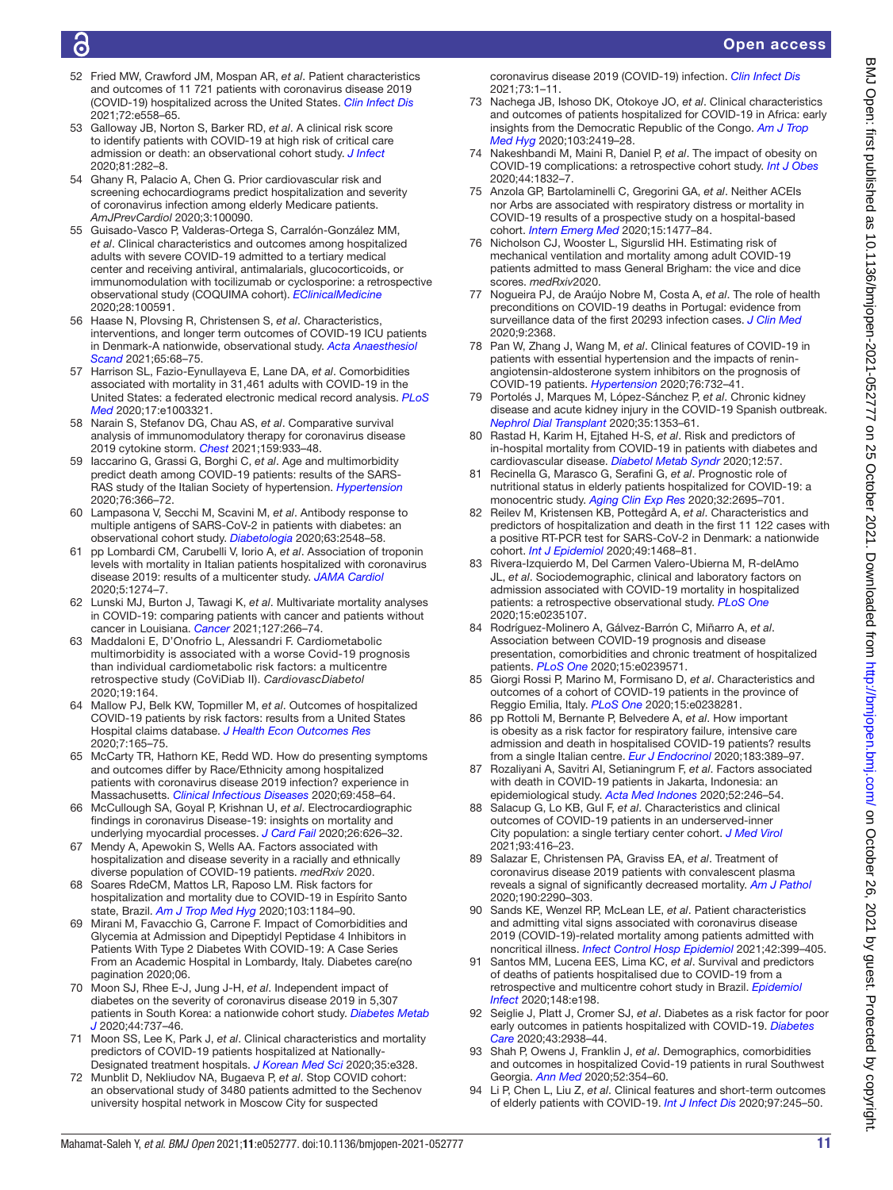# G

- 52 Fried MW, Crawford JM, Mospan AR, *et al*. Patient characteristics and outcomes of 11 721 patients with coronavirus disease 2019 (COVID-19) hospitalized across the United States. *Clin Infect Dis* 2021;72:e558–65.
- 53 Galloway JB, Norton S, Barker RD, *et al*. A clinical risk score to identify patients with COVID-19 at high risk of critical care admission or death: an observational cohort study. *J Infect* 2020;81:282–8.
- 54 Ghany R, Palacio A, Chen G. Prior cardiovascular risk and screening echocardiograms predict hospitalization and severity of coronavirus infection among elderly Medicare patients. *AmJPrevCardiol* 2020;3:100090.
- 55 Guisado-Vasco P, Valderas-Ortega S, Carralón-González MM, *et al*. Clinical characteristics and outcomes among hospitalized adults with severe COVID-19 admitted to a tertiary medical center and receiving antiviral, antimalarials, glucocorticoids, or immunomodulation with tocilizumab or cyclosporine: a retrospective observational study (COQUIMA cohort). *EClinicalMedicine* 2020;28:100591.
- 56 Haase N, Plovsing R, Christensen S, *et al*. Characteristics, interventions, and longer term outcomes of COVID-19 ICU patients in Denmark-A nationwide, observational study. *Acta Anaesthesiol Scand* 2021;65:68–75.
- 57 Harrison SL, Fazio-Eynullayeva E, Lane DA, *et al*. Comorbidities associated with mortality in 31,461 adults with COVID-19 in the United States: a federated electronic medical record analysis. *PLoS Med* 2020;17:e1003321.
- 58 Narain S, Stefanov DG, Chau AS, *et al*. Comparative survival analysis of immunomodulatory therapy for coronavirus disease 2019 cytokine storm. *Chest* 2021;159:933–48.
- 59 Iaccarino G, Grassi G, Borghi C, *et al*. Age and multimorbidity predict death among COVID-19 patients: results of the SARS-RAS study of the Italian Society of hypertension. *Hypertension* 2020;76:366–72.
- 60 Lampasona V, Secchi M, Scavini M, *et al*. Antibody response to multiple antigens of SARS-CoV-2 in patients with diabetes: an observational cohort study. *Diabetologia* 2020;63:2548–58.
- 61 pp Lombardi CM, Carubelli V, Iorio A, *et al*. Association of troponin levels with mortality in Italian patients hospitalized with coronavirus disease 2019: results of a multicenter study. *JAMA Cardiol* 2020;5:1274–7.
- 62 Lunski MJ, Burton J, Tawagi K, *et al*. Multivariate mortality analyses in COVID-19: comparing patients with cancer and patients without cancer in Louisiana. *Cancer* 2021;127:266–74.
- 63 Maddaloni E, D'Onofrio L, Alessandri F. Cardiometabolic multimorbidity is associated with a worse Covid-19 prognosis than individual cardiometabolic risk factors: a multicentre retrospective study (CoViDiab II). *CardiovascDiabetol* 2020;19:164.
- 64 Mallow PJ, Belk KW, Topmiller M, *et al*. Outcomes of hospitalized COVID-19 patients by risk factors: results from a United States Hospital claims database. *J Health Econ Outcomes Res* 2020;7:165–75.
- 65 McCarty TR, Hathorn KE, Redd WD. How do presenting symptoms and outcomes differ by Race/Ethnicity among hospitalized patients with coronavirus disease 2019 infection? experience in Massachusetts. *Clinical Infectious Diseases* 2020;69:458–64.
- 66 McCullough SA, Goyal P, Krishnan U, *et al*. Electrocardiographic findings in coronavirus Disease-19: insights on mortality and underlying myocardial processes. *J Card Fail* 2020;26:626–32.
- 67 Mendy A, Apewokin S, Wells AA. Factors associated with hospitalization and disease severity in a racially and ethnically diverse population of COVID-19 patients. *medRxiv* 2020.
- 68 Soares RdeCM, Mattos LR, Raposo LM. Risk factors for hospitalization and mortality due to COVID-19 in Espírito Santo state, Brazil. *Am J Trop Med Hyg* 2020;103:1184–90.
- 69 Mirani M, Favacchio G, Carrone F. Impact of Comorbidities and Glycemia at Admission and Dipeptidyl Peptidase 4 Inhibitors in Patients With Type 2 Diabetes With COVID-19: A Case Series From an Academic Hospital in Lombardy, Italy. Diabetes care(no pagination 2020;06.
- 70 Moon SJ, Rhee E-J, Jung J-H, *et al*. Independent impact of diabetes on the severity of coronavirus disease 2019 in 5,307 patients in South Korea: a nationwide cohort study. *Diabetes Metab J* 2020;44:737–46.
- 71 Moon SS, Lee K, Park J, *et al*. Clinical characteristics and mortality predictors of COVID-19 patients hospitalized at Nationally-Designated treatment hospitals. *J Korean Med Sci* 2020;35:e328.
- 72 Munblit D, Nekliudov NA, Bugaeva P, *et al*. Stop COVID cohort: an observational study of 3480 patients admitted to the Sechenov university hospital network in Moscow City for suspected

coronavirus disease 2019 (COVID-19) infection. *Clin Infect Dis* 2021;73:1–11.

- 73 Nachega JB, Ishoso DK, Otokoye JO, *et al*. Clinical characteristics and outcomes of patients hospitalized for COVID-19 in Africa: early insights from the Democratic Republic of the Congo. *Am J Trop Med Hyg* 2020;103:2419–28.
- 74 Nakeshbandi M, Maini R, Daniel P, *et al*. The impact of obesity on COVID-19 complications: a retrospective cohort study. *Int J Obes* 2020;44:1832–7.
- 75 Anzola GP, Bartolaminelli C, Gregorini GA, *et al*. Neither ACEIs nor Arbs are associated with respiratory distress or mortality in COVID-19 results of a prospective study on a hospital-based cohort. *Intern Emerg Med* 2020;15:1477–84.
- 76 Nicholson CJ, Wooster L, Sigurslid HH. Estimating risk of mechanical ventilation and mortality among adult COVID-19 patients admitted to mass General Brigham: the vice and dice scores. *medRxiv*2020.
- 77 Nogueira PJ, de Araújo Nobre M, Costa A, *et al*. The role of health preconditions on COVID-19 deaths in Portugal: evidence from surveillance data of the first 20293 infection cases. *J Clin Med* 2020;9:2368.
- 78 Pan W, Zhang J, Wang M, *et al*. Clinical features of COVID-19 in patients with essential hypertension and the impacts of reninangiotensin-aldosterone system inhibitors on the prognosis of COVID-19 patients. *Hypertension* 2020;76:732–41.
- 79 Portolés J, Marques M, López-Sánchez P, *et al*. Chronic kidney disease and acute kidney injury in the COVID-19 Spanish outbreak. *Nephrol Dial Transplant* 2020;35:1353–61.
- 80 Rastad H, Karim H, Ejtahed H-S, *et al*. Risk and predictors of in-hospital mortality from COVID-19 in patients with diabetes and cardiovascular disease. *Diabetol Metab Syndr* 2020;12:57.
- 81 Recinella G, Marasco G, Serafini G, *et al*. Prognostic role of nutritional status in elderly patients hospitalized for COVID-19: a monocentric study. *Aging Clin Exp Res* 2020;32:2695–701.
- 82 Reilev M, Kristensen KB, Pottegård A, *et al*. Characteristics and predictors of hospitalization and death in the first 11 122 cases with a positive RT-PCR test for SARS-CoV-2 in Denmark: a nationwide cohort. *Int J Epidemiol* 2020;49:1468–81.
- 83 Rivera-Izquierdo M, Del Carmen Valero-Ubierna M, R-delAmo JL, *et al*. Sociodemographic, clinical and laboratory factors on admission associated with COVID-19 mortality in hospitalized patients: a retrospective observational study. *PLoS One* 2020;15:e0235107.
- 84 Rodríguez-Molinero A, Gálvez-Barrón C, Miñarro A, *et al*. Association between COVID-19 prognosis and disease presentation, comorbidities and chronic treatment of hospitalized patients. *PLoS One* 2020;15:e0239571.
- 85 Giorgi Rossi P, Marino M, Formisano D, *et al*. Characteristics and outcomes of a cohort of COVID-19 patients in the province of Reggio Emilia, Italy. *PLoS One* 2020;15:e0238281.
- 86 pp Rottoli M, Bernante P, Belvedere A, *et al*. How important is obesity as a risk factor for respiratory failure, intensive care admission and death in hospitalised COVID-19 patients? results from a single Italian centre. *Eur J Endocrinol* 2020;183:389–97.
- 87 Rozaliyani A, Savitri AI, Setianingrum F, *et al*. Factors associated with death in COVID-19 patients in Jakarta, Indonesia: an epidemiological study. *Acta Med Indones* 2020;52:246–54.
- 88 Salacup G, Lo KB, Gul F, *et al*. Characteristics and clinical outcomes of COVID-19 patients in an underserved-inner City population: a single tertiary center cohort. *J Med Virol* 2021;93:416–23.
- 89 Salazar E, Christensen PA, Graviss EA, *et al*. Treatment of coronavirus disease 2019 patients with convalescent plasma reveals a signal of significantly decreased mortality. *Am J Pathol* 2020;190:2290–303.
- 90 Sands KE, Wenzel RP, McLean LE, *et al*. Patient characteristics and admitting vital signs associated with coronavirus disease 2019 (COVID-19)-related mortality among patients admitted with noncritical illness. *Infect Control Hosp Epidemiol* 2021;42:399–405.
- 91 Santos MM, Lucena EES, Lima KC, *et al*. Survival and predictors of deaths of patients hospitalised due to COVID-19 from a retrospective and multicentre cohort study in Brazil. *Epidemiol Infect* 2020;148:e198.
- 92 Seiglie J, Platt J, Cromer SJ, *et al*. Diabetes as a risk factor for poor early outcomes in patients hospitalized with COVID-19. *Diabetes Care* 2020;43:2938–44.
- 93 Shah P, Owens J, Franklin J, *et al*. Demographics, comorbidities and outcomes in hospitalized Covid-19 patients in rural Southwest Georgia. *Ann Med* 2020;52:354–60.
- Li P, Chen L, Liu Z, et al. Clinical features and short-term outcomes of elderly patients with COVID-19. *Int J Infect Dis* 2020;97:245–50.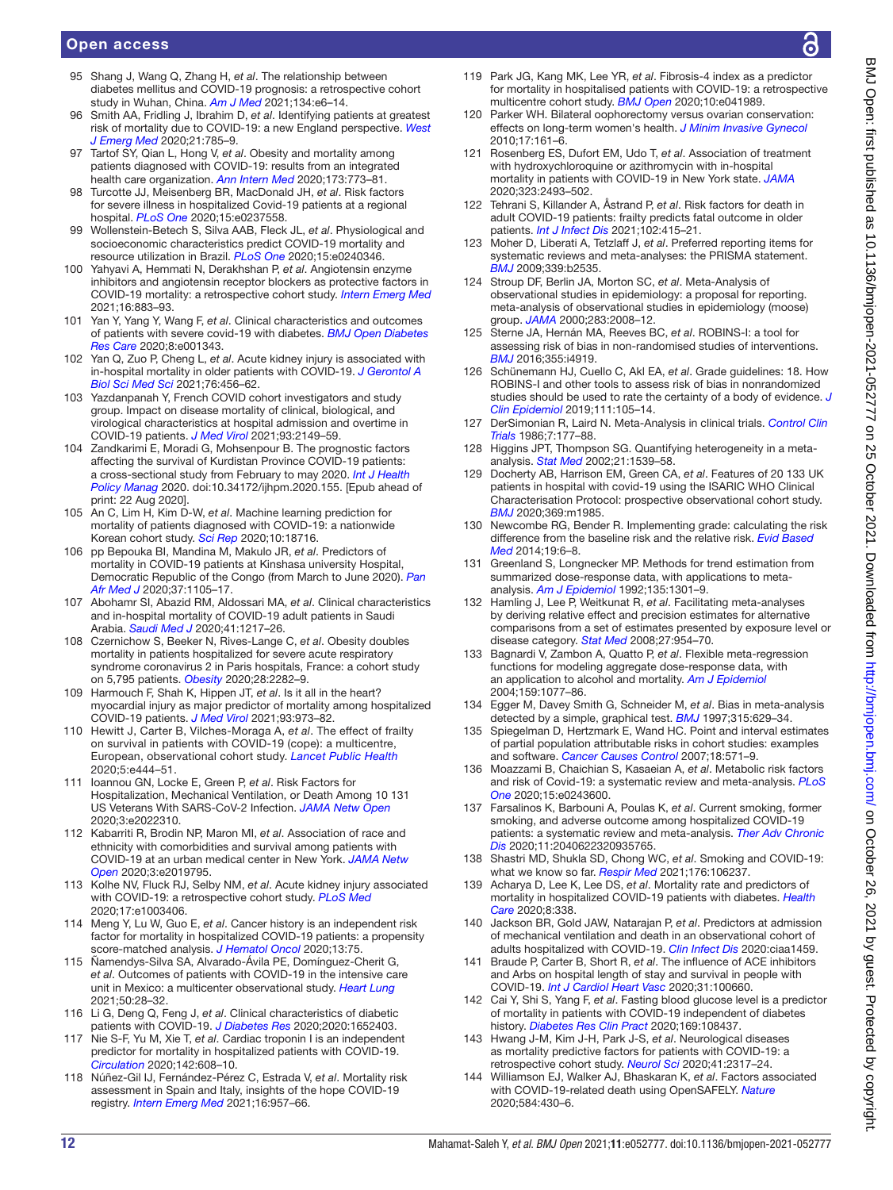- 95 Shang J, Wang Q, Zhang H, *et al*. The relationship between diabetes mellitus and COVID-19 prognosis: a retrospective cohort study in Wuhan, China. *Am J Med* 2021;134:e6–14.
- 96 Smith AA, Fridling J, Ibrahim D, *et al*. Identifying patients at greatest risk of mortality due to COVID-19: a new England perspective. *West J Emerg Med* 2020;21:785–9.
- 97 Tartof SY, Qian L, Hong V, *et al*. Obesity and mortality among patients diagnosed with COVID-19: results from an integrated health care organization. *Ann Intern Med* 2020;173:773–81.
- 98 Turcotte JJ, Meisenberg BR, MacDonald JH, *et al*. Risk factors for severe illness in hospitalized Covid-19 patients at a regional hospital. *PLoS One* 2020;15:e0237558.
- 99 Wollenstein-Betech S, Silva AAB, Fleck JL, *et al*. Physiological and socioeconomic characteristics predict COVID-19 mortality and resource utilization in Brazil. *PLoS One* 2020;15:e0240346.
- 100 Yahyavi A, Hemmati N, Derakhshan P, *et al*. Angiotensin enzyme inhibitors and angiotensin receptor blockers as protective factors in COVID-19 mortality: a retrospective cohort study. *Intern Emerg Med* 2021;16:883–93.
- 101 Yan Y, Yang Y, Wang F, *et al*. Clinical characteristics and outcomes of patients with severe covid-19 with diabetes. *BMJ Open Diabetes Res Care* 2020;8:e001343.
- 102 Yan Q, Zuo P, Cheng L, *et al*. Acute kidney injury is associated with in-hospital mortality in older patients with COVID-19. *J Gerontol A Biol Sci Med Sci* 2021;76:456–62.
- 103 Yazdanpanah Y, French COVID cohort investigators and study group. Impact on disease mortality of clinical, biological, and virological characteristics at hospital admission and overtime in COVID-19 patients. *J Med Virol* 2021;93:2149–59.
- 104 Zandkarimi E, Moradi G, Mohsenpour B. The prognostic factors affecting the survival of Kurdistan Province COVID-19 patients: a cross-sectional study from February to may 2020. *Int J Health Policy Manag* 2020. doi:10.34172/ijhpm.2020.155. [Epub ahead of print: 22 Aug 2020].
- 105 An C, Lim H, Kim D-W, *et al*. Machine learning prediction for mortality of patients diagnosed with COVID-19: a nationwide Korean cohort study. *Sci Rep* 2020;10:18716.
- 106 pp Bepouka BI, Mandina M, Makulo JR, *et al*. Predictors of mortality in COVID-19 patients at Kinshasa university Hospital, Democratic Republic of the Congo (from March to June 2020). *Pan Afr Med J* 2020;37:1105–17.
- 107 Abohamr SI, Abazid RM, Aldossari MA, *et al*. Clinical characteristics and in-hospital mortality of COVID-19 adult patients in Saudi Arabia. *Saudi Med J* 2020;41:1217–26.
- 108 Czernichow S, Beeker N, Rives-Lange C, *et al*. Obesity doubles mortality in patients hospitalized for severe acute respiratory syndrome coronavirus 2 in Paris hospitals, France: a cohort study on 5,795 patients. *Obesity* 2020;28:2282–9.
- 109 Harmouch F, Shah K, Hippen JT, *et al*. Is it all in the heart? myocardial injury as major predictor of mortality among hospitalized COVID-19 patients. *J Med Virol* 2021;93:973–82.
- 110 Hewitt J, Carter B, Vilches-Moraga A, *et al*. The effect of frailty on survival in patients with COVID-19 (cope): a multicentre, European, observational cohort study. *Lancet Public Health* 2020;5:e444–51.
- 111 Ioannou GN, Locke E, Green P, *et al*. Risk Factors for Hospitalization, Mechanical Ventilation, or Death Among 10 131 US Veterans With SARS-CoV-2 Infection. *JAMA Netw Open* 2020;3:e2022310.
- 112 Kabarriti R, Brodin NP, Maron MI, *et al*. Association of race and ethnicity with comorbidities and survival among patients with COVID-19 at an urban medical center in New York. *JAMA Netw Open* 2020;3:e2019795.
- 113 Kolhe NV, Fluck RJ, Selby NM, *et al*. Acute kidney injury associated with COVID-19: a retrospective cohort study. *PLoS Med* 2020;17:e1003406.
- 114 Meng Y, Lu W, Guo E, *et al*. Cancer history is an independent risk factor for mortality in hospitalized COVID-19 patients: a propensity score-matched analysis. *J Hematol Oncol* 2020;13:75.
- 115 Ñamendys-Silva SA, Alvarado-Ávila PE, Domínguez-Cherit G, *et al*. Outcomes of patients with COVID-19 in the intensive care unit in Mexico: a multicenter observational study. *Heart Lung* 2021;50:28–32.
- 116 Li G, Deng Q, Feng J, *et al*. Clinical characteristics of diabetic patients with COVID-19. *J Diabetes Res* 2020;2020:1652403.
- 117 Nie S-F, Yu M, Xie T, *et al*. Cardiac troponin I is an independent predictor for mortality in hospitalized patients with COVID-19. *Circulation* 2020;142:608–10.
- 118 Núñez-Gil IJ, Fernández-Pérez C, Estrada V, *et al*. Mortality risk assessment in Spain and Italy, insights of the hope COVID-19 registry. *Intern Emerg Med* 2021;16:957–66.
- 119 Park JG, Kang MK, Lee YR, *et al*. Fibrosis-4 index as a predictor for mortality in hospitalised patients with COVID-19: a retrospective multicentre cohort study. *BMJ Open* 2020;10:e041989.
- 120 Parker WH. Bilateral oophorectomy versus ovarian conservation: effects on long-term women's health. *J Minim Invasive Gynecol* 2010;17:161–6.
- 121 Rosenberg ES, Dufort EM, Udo T, *et al*. Association of treatment with hydroxychloroquine or azithromycin with in-hospital mortality in patients with COVID-19 in New York state. *JAMA* 2020;323:2493–502.
- 122 Tehrani S, Killander A, Åstrand P, *et al*. Risk factors for death in adult COVID-19 patients: frailty predicts fatal outcome in older patients. *Int J Infect Dis* 2021;102:415–21.
- 123 Moher D, Liberati A, Tetzlaff J, *et al*. Preferred reporting items for systematic reviews and meta-analyses: the PRISMA statement. *BMJ* 2009;339:b2535.
- 124 Stroup DF, Berlin JA, Morton SC, *et al*. Meta-Analysis of observational studies in epidemiology: a proposal for reporting. meta-analysis of observational studies in epidemiology (moose) group. *JAMA* 2000;283:2008–12.
- 125 Sterne JA, Hernán MA, Reeves BC, *et al*. ROBINS-I: a tool for assessing risk of bias in non-randomised studies of interventions. *BMJ* 2016;355:i4919.
- 126 Schünemann HJ, Cuello C, Akl EA, *et al*. Grade guidelines: 18. How ROBINS-I and other tools to assess risk of bias in nonrandomized studies should be used to rate the certainty of a body of evidence. *J Clin Epidemiol* 2019;111:105–14.
- 127 DerSimonian R, Laird N. Meta-Analysis in clinical trials. *Control Clin Trials* 1986;7:177–88.
- 128 Higgins JPT, Thompson SG. Quantifying heterogeneity in a metaanalysis. *Stat Med* 2002;21:1539–58.
- 129 Docherty AB, Harrison EM, Green CA, *et al*. Features of 20 133 UK patients in hospital with covid-19 using the ISARIC WHO Clinical Characterisation Protocol: prospective observational cohort study. *BMJ* 2020;369:m1985.
- 130 Newcombe RG, Bender R. Implementing grade: calculating the risk difference from the baseline risk and the relative risk. *Evid Based Med* 2014;19:6–8.
- 131 Greenland S, Longnecker MP. Methods for trend estimation from summarized dose-response data, with applications to metaanalysis. *Am J Epidemiol* 1992;135:1301–9.
- 132 Hamling J, Lee P, Weitkunat R, *et al*. Facilitating meta-analyses by deriving relative effect and precision estimates for alternative comparisons from a set of estimates presented by exposure level or disease category. *Stat Med* 2008;27:954–70.
- 133 Bagnardi V, Zambon A, Quatto P, *et al*. Flexible meta-regression functions for modeling aggregate dose-response data, with an application to alcohol and mortality. *Am J Epidemiol* 2004;159:1077–86.
- 134 Egger M, Davey Smith G, Schneider M, *et al*. Bias in meta-analysis detected by a simple, graphical test. *BMJ* 1997;315:629–34.
- 135 Spiegelman D, Hertzmark E, Wand HC. Point and interval estimates of partial population attributable risks in cohort studies: examples and software. *Cancer Causes Control* 2007;18:571–9.
- 136 Moazzami B, Chaichian S, Kasaeian A, *et al*. Metabolic risk factors and risk of Covid-19: a systematic review and meta-analysis. *PLoS One* 2020;15:e0243600.
- 137 Farsalinos K, Barbouni A, Poulas K, *et al*. Current smoking, former smoking, and adverse outcome among hospitalized COVID-19 patients: a systematic review and meta-analysis. *Ther Adv Chronic Dis* 2020;11:2040622320935765.
- 138 Shastri MD, Shukla SD, Chong WC, *et al*. Smoking and COVID-19: what we know so far. *Respir Med* 2021;176:106237.
- Acharya D, Lee K, Lee DS, *et al.* Mortality rate and predictors of mortality in hospitalized COVID-19 patients with diabetes. *Health Care* 2020;8:338.
- 140 Jackson BR, Gold JAW, Natarajan P, *et al*. Predictors at admission of mechanical ventilation and death in an observational cohort of adults hospitalized with COVID-19. *Clin Infect Dis* 2020:ciaa1459.
- 141 Braude P, Carter B, Short R, *et al*. The influence of ACE inhibitors and Arbs on hospital length of stay and survival in people with COVID-19. *Int J Cardiol Heart Vasc* 2020;31:100660.
- 142 Cai Y, Shi S, Yang F, *et al*. Fasting blood glucose level is a predictor of mortality in patients with COVID-19 independent of diabetes history. *Diabetes Res Clin Pract* 2020;169:108437.
- 143 Hwang J-M, Kim J-H, Park J-S, *et al*. Neurological diseases as mortality predictive factors for patients with COVID-19: a retrospective cohort study. *Neurol Sci* 2020;41:2317–24.
- 144 Williamson EJ, Walker AJ, Bhaskaran K, *et al*. Factors associated with COVID-19-related death using OpenSAFELY. *Nature* 2020;584:430–6.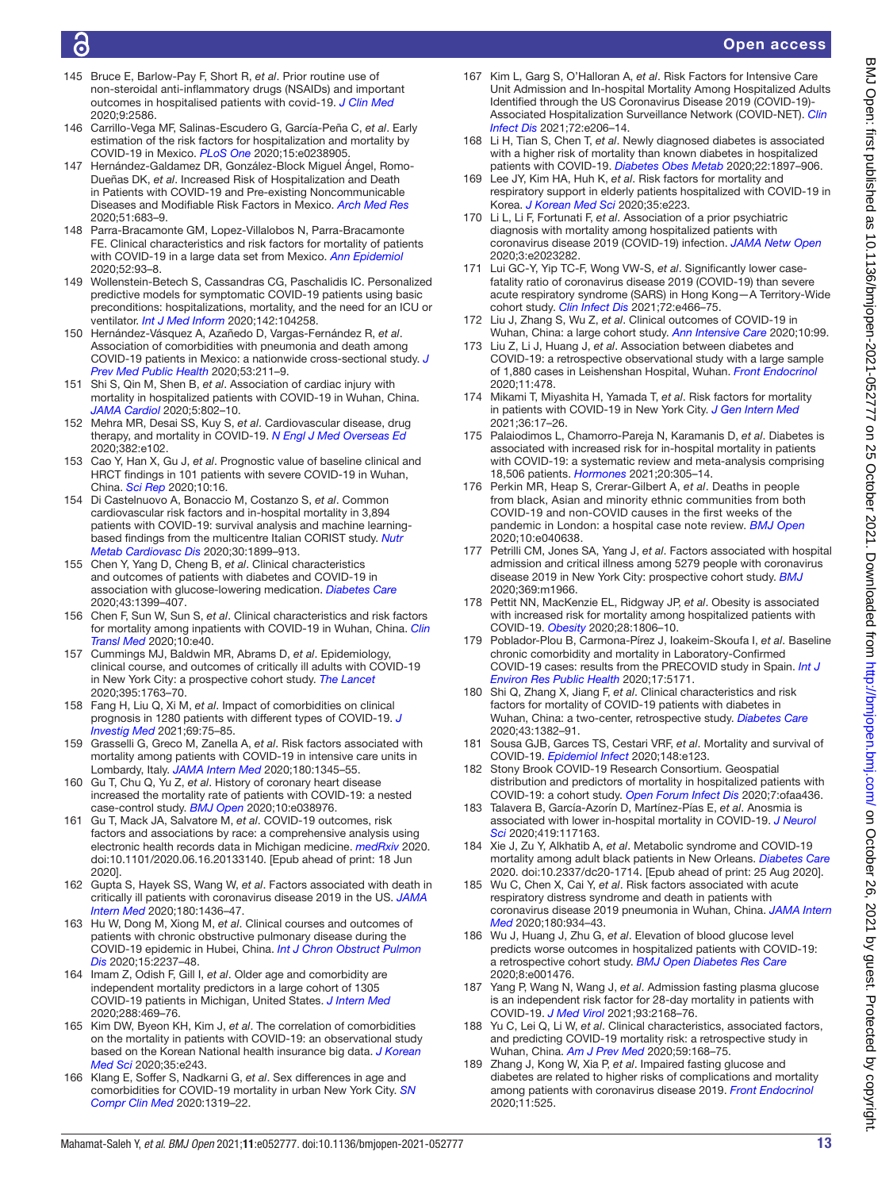# G

- 145 Bruce E, Barlow-Pay F, Short R, *et al*. Prior routine use of non-steroidal anti-inflammatory drugs (NSAIDs) and important outcomes in hospitalised patients with covid-19. *J Clin Med* 2020;9:2586.
- 146 Carrillo-Vega MF, Salinas-Escudero G, García-Peña C, *et al*. Early estimation of the risk factors for hospitalization and mortality by COVID-19 in Mexico. *PLoS One* 2020;15:e0238905.
- 147 Hernández-Galdamez DR, González-Block Miguel Ángel, Romo-Dueñas DK, *et al*. Increased Risk of Hospitalization and Death in Patients with COVID-19 and Pre-existing Noncommunicable Diseases and Modifiable Risk Factors in Mexico. *Arch Med Res* 2020;51:683–9.
- 148 Parra-Bracamonte GM, Lopez-Villalobos N, Parra-Bracamonte FE. Clinical characteristics and risk factors for mortality of patients with COVID-19 in a large data set from Mexico. *Ann Epidemiol* 2020;52:93–8.
- 149 Wollenstein-Betech S, Cassandras CG, Paschalidis IC. Personalized predictive models for symptomatic COVID-19 patients using basic preconditions: hospitalizations, mortality, and the need for an ICU or ventilator. *Int J Med Inform* 2020;142:104258.
- 150 Hernández-Vásquez A, Azañedo D, Vargas-Fernández R, *et al*. Association of comorbidities with pneumonia and death among COVID-19 patients in Mexico: a nationwide cross-sectional study. *J Prev Med Public Health* 2020;53:211–9.
- 151 Shi S, Qin M, Shen B, *et al*. Association of cardiac injury with mortality in hospitalized patients with COVID-19 in Wuhan, China. *JAMA Cardiol* 2020;5:802–10.
- 152 Mehra MR, Desai SS, Kuy S, *et al*. Cardiovascular disease, drug therapy, and mortality in COVID-19. *N Engl J Med Overseas Ed* 2020;382:e102.
- 153 Cao Y, Han X, Gu J, *et al*. Prognostic value of baseline clinical and HRCT findings in 101 patients with severe COVID-19 in Wuhan, China. *Sci Rep* 2020;10:16.
- 154 Di Castelnuovo A, Bonaccio M, Costanzo S, *et al*. Common cardiovascular risk factors and in-hospital mortality in 3,894 patients with COVID-19: survival analysis and machine learningbased findings from the multicentre Italian CORIST study. *Nutr Metab Cardiovasc Dis* 2020;30:1899–913.
- 155 Chen Y, Yang D, Cheng B, *et al*. Clinical characteristics and outcomes of patients with diabetes and COVID-19 in association with glucose-lowering medication. *Diabetes Care* 2020;43:1399–407.
- 156 Chen F, Sun W, Sun S, *et al*. Clinical characteristics and risk factors for mortality among inpatients with COVID-19 in Wuhan, China. *Clin Transl Med* 2020;10:e40.
- 157 Cummings MJ, Baldwin MR, Abrams D, *et al*. Epidemiology, clinical course, and outcomes of critically ill adults with COVID-19 in New York City: a prospective cohort study. *The Lancet* 2020;395:1763–70.
- 158 Fang H, Liu Q, Xi M, *et al*. Impact of comorbidities on clinical prognosis in 1280 patients with different types of COVID-19. *J Investig Med* 2021;69:75–85.
- 159 Grasselli G, Greco M, Zanella A, *et al*. Risk factors associated with mortality among patients with COVID-19 in intensive care units in Lombardy, Italy. *JAMA Intern Med* 2020;180:1345–55.
- 160 Gu T, Chu Q, Yu Z, *et al*. History of coronary heart disease increased the mortality rate of patients with COVID-19: a nested case-control study. *BMJ Open* 2020;10:e038976.
- 161 Gu T, Mack JA, Salvatore M, *et al*. COVID-19 outcomes, risk factors and associations by race: a comprehensive analysis using electronic health records data in Michigan medicine. *medRxiv* 2020. doi:10.1101/2020.06.16.20133140. [Epub ahead of print: 18 Jun 2020].
- 162 Gupta S, Hayek SS, Wang W, *et al*. Factors associated with death in critically ill patients with coronavirus disease 2019 in the US. *JAMA Intern Med* 2020;180:1436–47.
- 163 Hu W, Dong M, Xiong M, *et al*. Clinical courses and outcomes of patients with chronic obstructive pulmonary disease during the COVID-19 epidemic in Hubei, China. *Int J Chron Obstruct Pulmon Dis* 2020;15:2237–48.
- 164 Imam Z, Odish F, Gill I, *et al*. Older age and comorbidity are independent mortality predictors in a large cohort of 1305 COVID-19 patients in Michigan, United States. *J Intern Med* 2020;288:469–76.
- 165 Kim DW, Byeon KH, Kim J, *et al*. The correlation of comorbidities on the mortality in patients with COVID-19: an observational study based on the Korean National health insurance big data. *J Korean Med Sci* 2020;35:e243.
- 166 Klang E, Soffer S, Nadkarni G, *et al*. Sex differences in age and comorbidities for COVID-19 mortality in urban New York City. *SN Compr Clin Med* 2020:1319–22.
- 167 Kim L, Garg S, O'Halloran A, *et al*. Risk Factors for Intensive Care Unit Admission and In-hospital Mortality Among Hospitalized Adults Identified through the US Coronavirus Disease 2019 (COVID-19)- Associated Hospitalization Surveillance Network (COVID-NET). *Clin Infect Dis* 2021;72:e206–14.
- 168 Li H, Tian S, Chen T, *et al*. Newly diagnosed diabetes is associated with a higher risk of mortality than known diabetes in hospitalized patients with COVID-19. *Diabetes Obes Metab* 2020;22:1897–906.
- 169 Lee JY, Kim HA, Huh K, *et al*. Risk factors for mortality and respiratory support in elderly patients hospitalized with COVID-19 in Korea. *J Korean Med Sci* 2020;35:e223.
- 170 Li L, Li F, Fortunati F, *et al*. Association of a prior psychiatric diagnosis with mortality among hospitalized patients with coronavirus disease 2019 (COVID-19) infection. *JAMA Netw Open* 2020;3:e2023282.
- 171 Lui GC-Y, Yip TC-F, Wong VW-S, *et al*. Significantly lower casefatality ratio of coronavirus disease 2019 (COVID-19) than severe acute respiratory syndrome (SARS) in Hong Kong—A Territory-Wide cohort study. *Clin Infect Dis* 2021;72:e466–75.
- 172 Liu J, Zhang S, Wu Z, *et al*. Clinical outcomes of COVID-19 in Wuhan, China: a large cohort study. *Ann Intensive Care* 2020;10:99.
- 173 Liu Z, Li J, Huang J, *et al*. Association between diabetes and COVID-19: a retrospective observational study with a large sample of 1,880 cases in Leishenshan Hospital, Wuhan. *Front Endocrinol* 2020;11:478.
- 174 Mikami T, Miyashita H, Yamada T, *et al*. Risk factors for mortality in patients with COVID-19 in New York City. *J Gen Intern Med* 2021;36:17–26.
- 175 Palaiodimos L, Chamorro-Pareja N, Karamanis D, *et al*. Diabetes is associated with increased risk for in-hospital mortality in patients with COVID-19: a systematic review and meta-analysis comprising 18,506 patients. *Hormones* 2021;20:305–14.
- 176 Perkin MR, Heap S, Crerar-Gilbert A, *et al*. Deaths in people from black, Asian and minority ethnic communities from both COVID-19 and non-COVID causes in the first weeks of the pandemic in London: a hospital case note review. *BMJ Open* 2020;10:e040638.
- 177 Petrilli CM, Jones SA, Yang J, *et al*. Factors associated with hospital admission and critical illness among 5279 people with coronavirus disease 2019 in New York City: prospective cohort study. *BMJ* 2020;369:m1966.
- 178 Pettit NN, MacKenzie EL, Ridgway JP, *et al*. Obesity is associated with increased risk for mortality among hospitalized patients with COVID-19. *Obesity* 2020;28:1806–10.
- 179 Poblador-Plou B, Carmona-Pírez J, Ioakeim-Skoufa I, *et al*. Baseline chronic comorbidity and mortality in Laboratory-Confirmed COVID-19 cases: results from the PRECOVID study in Spain. *Int J Environ Res Public Health* 2020;17:5171.
- 180 Shi Q, Zhang X, Jiang F, *et al*. Clinical characteristics and risk factors for mortality of COVID-19 patients with diabetes in Wuhan, China: a two-center, retrospective study. *Diabetes Care* 2020;43:1382–91.
- 181 Sousa GJB, Garces TS, Cestari VRF, *et al*. Mortality and survival of COVID-19. *Epidemiol Infect* 2020;148:e123.
- 182 Stony Brook COVID-19 Research Consortium. Geospatial distribution and predictors of mortality in hospitalized patients with COVID-19: a cohort study. *Open Forum Infect Dis* 2020;7:ofaa436.
- 183 Talavera B, García-Azorín D, Martínez-Pías E, *et al*. Anosmia is associated with lower in-hospital mortality in COVID-19. *J Neurol Sci* 2020;419:117163.
- 184 Xie J, Zu Y, Alkhatib A, *et al*. Metabolic syndrome and COVID-19 mortality among adult black patients in New Orleans. *Diabetes Care* 2020. doi:10.2337/dc20-1714. [Epub ahead of print: 25 Aug 2020].
- 185 Wu C, Chen X, Cai Y, *et al*. Risk factors associated with acute respiratory distress syndrome and death in patients with coronavirus disease 2019 pneumonia in Wuhan, China. *JAMA Intern Med* 2020;180:934–43.
- 186 Wu J, Huang J, Zhu G, *et al*. Elevation of blood glucose level predicts worse outcomes in hospitalized patients with COVID-19: a retrospective cohort study. *BMJ Open Diabetes Res Care* 2020;8:e001476.
- 187 Yang P, Wang N, Wang J, *et al*. Admission fasting plasma glucose is an independent risk factor for 28-day mortality in patients with COVID-19. *J Med Virol* 2021;93:2168–76.
- 188 Yu C, Lei Q, Li W, *et al*. Clinical characteristics, associated factors, and predicting COVID-19 mortality risk: a retrospective study in Wuhan, China. *Am J Prev Med* 2020;59:168–75.
- 189 Zhang J, Kong W, Xia P, *et al*. Impaired fasting glucose and diabetes are related to higher risks of complications and mortality among patients with coronavirus disease 2019. *Front Endocrinol* 2020;11:525.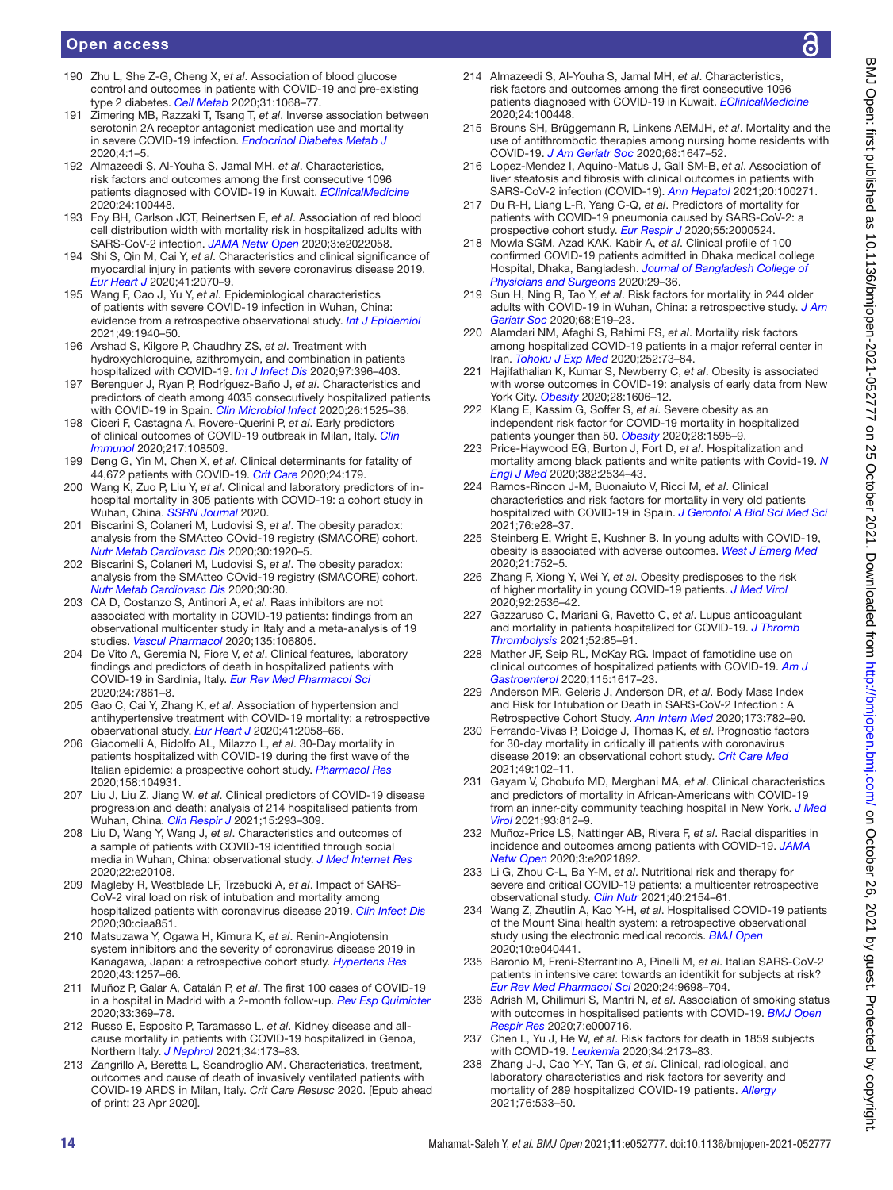- 190 Zhu L, She Z-G, Cheng X, *et al*. Association of blood glucose control and outcomes in patients with COVID-19 and pre-existing type 2 diabetes. *Cell Metab* 2020;31:1068–77.
- 191 Zimering MB, Razzaki T, Tsang T, *et al*. Inverse association between serotonin 2A receptor antagonist medication use and mortality in severe COVID-19 infection. *Endocrinol Diabetes Metab J* 2020;4:1–5.
- 192 Almazeedi S, Al-Youha S, Jamal MH, *et al*. Characteristics, risk factors and outcomes among the first consecutive 1096 patients diagnosed with COVID-19 in Kuwait. *EClinicalMedicine* 2020;24:100448.
- 193 Foy BH, Carlson JCT, Reinertsen E, *et al*. Association of red blood cell distribution width with mortality risk in hospitalized adults with SARS-CoV-2 infection. *JAMA Netw Open* 2020;3:e2022058.
- 194 Shi S, Qin M, Cai Y, *et al*. Characteristics and clinical significance of myocardial injury in patients with severe coronavirus disease 2019. *Eur Heart J* 2020;41:2070–9.
- 195 Wang F, Cao J, Yu Y, *et al*. Epidemiological characteristics of patients with severe COVID-19 infection in Wuhan, China: evidence from a retrospective observational study. *Int J Epidemiol* 2021;49:1940–50.
- 196 Arshad S, Kilgore P, Chaudhry ZS, *et al*. Treatment with hydroxychloroquine, azithromycin, and combination in patients hospitalized with COVID-19. *Int J Infect Dis* 2020;97:396–403.
- 197 Berenguer J, Ryan P, Rodríguez-Baño J, *et al*. Characteristics and predictors of death among 4035 consecutively hospitalized patients with COVID-19 in Spain. *Clin Microbiol Infect* 2020;26:1525–36.
- 198 Ciceri F, Castagna A, Rovere-Querini P, *et al*. Early predictors of clinical outcomes of COVID-19 outbreak in Milan, Italy. *Clin Immunol* 2020;217:108509.
- 199 Deng G, Yin M, Chen X, *et al*. Clinical determinants for fatality of 44,672 patients with COVID-19. *Crit Care* 2020;24:179.
- 200 Wang K, Zuo P, Liu Y, *et al*. Clinical and laboratory predictors of inhospital mortality in 305 patients with COVID-19: a cohort study in Wuhan, China. *SSRN Journal* 2020.
- 201 Biscarini S, Colaneri M, Ludovisi S, *et al*. The obesity paradox: analysis from the SMAtteo COvid-19 registry (SMACORE) cohort. *Nutr Metab Cardiovasc Dis* 2020;30:1920–5.
- 202 Biscarini S, Colaneri M, Ludovisi S, *et al*. The obesity paradox: analysis from the SMAtteo COvid-19 registry (SMACORE) cohort. *Nutr Metab Cardiovasc Dis* 2020;30:30.
- 203 CA D, Costanzo S, Antinori A, *et al*. Raas inhibitors are not associated with mortality in COVID-19 patients: findings from an observational multicenter study in Italy and a meta-analysis of 19 studies. *Vascul Pharmacol* 2020;135:106805.
- 204 De Vito A, Geremia N, Fiore V, *et al*. Clinical features, laboratory findings and predictors of death in hospitalized patients with COVID-19 in Sardinia, Italy. *Eur Rev Med Pharmacol Sci* 2020;24:7861–8.
- 205 Gao C, Cai Y, Zhang K, *et al*. Association of hypertension and antihypertensive treatment with COVID-19 mortality: a retrospective observational study. *Eur Heart J* 2020;41:2058–66.
- 206 Giacomelli A, Ridolfo AL, Milazzo L, *et al*. 30-Day mortality in patients hospitalized with COVID-19 during the first wave of the Italian epidemic: a prospective cohort study. *Pharmacol Res* 2020;158:104931.
- 207 Liu J, Liu Z, Jiang W, *et al*. Clinical predictors of COVID-19 disease progression and death: analysis of 214 hospitalised patients from Wuhan, China. *Clin Respir J* 2021;15:293–309.
- 208 Liu D, Wang Y, Wang J, *et al*. Characteristics and outcomes of a sample of patients with COVID-19 identified through social media in Wuhan, China: observational study. *J Med Internet Res* 2020;22:e20108.
- 209 Magleby R, Westblade LF, Trzebucki A, *et al*. Impact of SARS-CoV-2 viral load on risk of intubation and mortality among hospitalized patients with coronavirus disease 2019. *Clin Infect Dis* 2020;30:ciaa851.
- 210 Matsuzawa Y, Ogawa H, Kimura K, *et al*. Renin-Angiotensin system inhibitors and the severity of coronavirus disease 2019 in Kanagawa, Japan: a retrospective cohort study. *Hypertens Res* 2020;43:1257–66.
- 211 Muñoz P, Galar A, Catalán P, *et al*. The first 100 cases of COVID-19 in a hospital in Madrid with a 2-month follow-up. *Rev Esp Quimioter* 2020;33:369–78.
- 212 Russo E, Esposito P, Taramasso L, *et al*. Kidney disease and allcause mortality in patients with COVID-19 hospitalized in Genoa, Northern Italy. *J Nephrol* 2021;34:173–83.
- 213 Zangrillo A, Beretta L, Scandroglio AM. Characteristics, treatment, outcomes and cause of death of invasively ventilated patients with COVID-19 ARDS in Milan, Italy. *Crit Care Resusc* 2020. [Epub ahead of print: 23 Apr 2020].
- 214 Almazeedi S, Al-Youha S, Jamal MH, *et al*. Characteristics, risk factors and outcomes among the first consecutive 1096 patients diagnosed with COVID-19 in Kuwait. *EClinicalMedicine* 2020;24:100448.
- 215 Brouns SH, Brüggemann R, Linkens AEMJH, *et al*. Mortality and the use of antithrombotic therapies among nursing home residents with COVID-19. *J Am Geriatr Soc* 2020;68:1647–52.
- 216 Lopez-Mendez I, Aquino-Matus J, Gall SM-B, *et al*. Association of liver steatosis and fibrosis with clinical outcomes in patients with SARS-CoV-2 infection (COVID-19). *Ann Hepatol* 2021;20:100271.
- 217 Du R-H, Liang L-R, Yang C-Q, *et al*. Predictors of mortality for patients with COVID-19 pneumonia caused by SARS-CoV-2: a prospective cohort study. *Eur Respir J* 2020;55:2000524.
- 218 Mowla SGM, Azad KAK, Kabir A, *et al*. Clinical profile of 100 confirmed COVID-19 patients admitted in Dhaka medical college Hospital, Dhaka, Bangladesh. *Journal of Bangladesh College of Physicians and Surgeons* 2020:29–36.
- 219 Sun H, Ning R, Tao Y, *et al*. Risk factors for mortality in 244 older adults with COVID-19 in Wuhan, China: a retrospective study. *J Am Geriatr Soc* 2020;68:E19–23.
- 220 Alamdari NM, Afaghi S, Rahimi FS, *et al*. Mortality risk factors among hospitalized COVID-19 patients in a major referral center in Iran. *Tohoku J Exp Med* 2020;252:73–84.
- 221 Hajifathalian K, Kumar S, Newberry C, *et al*. Obesity is associated with worse outcomes in COVID-19: analysis of early data from New York City. *Obesity* 2020;28:1606–12.
- 222 Klang E, Kassim G, Soffer S, *et al*. Severe obesity as an independent risk factor for COVID-19 mortality in hospitalized patients younger than 50. *Obesity* 2020;28:1595–9.
- 223 Price-Haywood EG, Burton J, Fort D, *et al*. Hospitalization and mortality among black patients and white patients with Covid-19. *N Engl J Med* 2020;382:2534–43.
- 224 Ramos-Rincon J-M, Buonaiuto V, Ricci M, *et al*. Clinical characteristics and risk factors for mortality in very old patients hospitalized with COVID-19 in Spain. *J Gerontol A Biol Sci Med Sci* 2021;76:e28–37.
- 225 Steinberg E, Wright E, Kushner B. In young adults with COVID-19, obesity is associated with adverse outcomes. *West J Emerg Med* 2020;21:752–5.
- 226 Zhang F, Xiong Y, Wei Y, *et al*. Obesity predisposes to the risk of higher mortality in young COVID-19 patients. *J Med Virol* 2020;92:2536–42.
- 227 Gazzaruso C, Mariani G, Ravetto C, *et al*. Lupus anticoagulant and mortality in patients hospitalized for COVID-19. *J Thromb Thrombolysis* 2021;52:85–91.
- 228 Mather JF, Seip RL, McKay RG. Impact of famotidine use on clinical outcomes of hospitalized patients with COVID-19. *Am J Gastroenterol* 2020;115:1617–23.
- 229 Anderson MR, Geleris J, Anderson DR, *et al*. Body Mass Index and Risk for Intubation or Death in SARS-CoV-2 Infection : A Retrospective Cohort Study. *Ann Intern Med* 2020;173:782–90.
- 230 Ferrando-Vivas P, Doidge J, Thomas K, *et al*. Prognostic factors for 30-day mortality in critically ill patients with coronavirus disease 2019: an observational cohort study. *Crit Care Med* 2021;49:102–11.
- 231 Gayam V, Chobufo MD, Merghani MA, *et al*. Clinical characteristics and predictors of mortality in African-Americans with COVID-19 from an inner-city community teaching hospital in New York. *J Med Virol* 2021;93:812–9.
- 232 Muñoz-Price LS, Nattinger AB, Rivera F, *et al*. Racial disparities in incidence and outcomes among patients with COVID-19. *JAMA Netw Open* 2020;3:e2021892.
- 233 Li G, Zhou C-L, Ba Y-M, *et al*. Nutritional risk and therapy for severe and critical COVID-19 patients: a multicenter retrospective observational study. *Clin Nutr* 2021;40:2154–61.
- 234 Wang Z, Zheutlin A, Kao Y-H, *et al*. Hospitalised COVID-19 patients of the Mount Sinai health system: a retrospective observational study using the electronic medical records. *BMJ Open* 2020;10:e040441.
- 235 Baronio M, Freni-Sterrantino A, Pinelli M, *et al*. Italian SARS-CoV-2 patients in intensive care: towards an identikit for subjects at risk? *Eur Rev Med Pharmacol Sci* 2020;24:9698–704.
- 236 Adrish M, Chilimuri S, Mantri N, *et al*. Association of smoking status with outcomes in hospitalised patients with COVID-19. *BMJ Open Respir Res* 2020;7:e000716.
- 237 Chen L, Yu J, He W, *et al*. Risk factors for death in 1859 subjects with COVID-19. *Leukemia* 2020;34:2173–83.
- 238 Zhang J-J, Cao Y-Y, Tan G, *et al*. Clinical, radiological, and laboratory characteristics and risk factors for severity and mortality of 289 hospitalized COVID-19 patients. *Allergy* 2021;76:533–50.